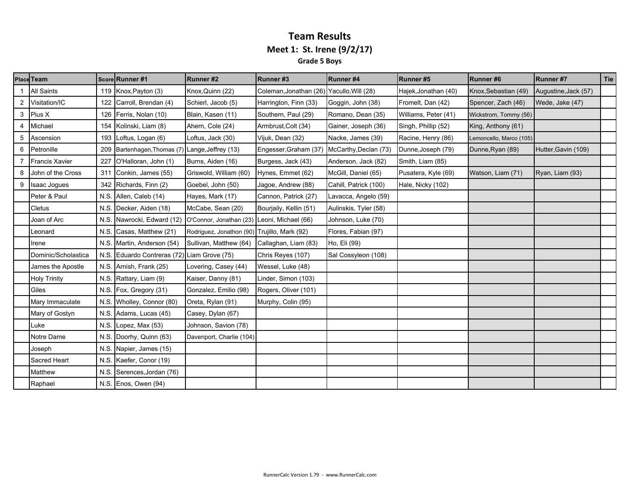### **Team Results Meet 1: St. Irene (9/2/17) Grade 5 Boys**

|   | <b>Place Team</b>     |      | Score Runner #1                        | Runner #2                                    | Runner#3                                  | <b>Runner#4</b>       | Runner#5             | Runner#6                | Runner #7            | Tie |
|---|-----------------------|------|----------------------------------------|----------------------------------------------|-------------------------------------------|-----------------------|----------------------|-------------------------|----------------------|-----|
|   | <b>All Saints</b>     | 119  | Knox, Payton (3)                       | Knox, Quinn (22)                             | Coleman, Jonathan (26) Yacullo, Will (28) |                       | Hajek, Jonathan (40) | Knox, Sebastian (49)    | Augustine, Jack (57) |     |
| 2 | Visitation/IC         | 122  | Carroll, Brendan (4)                   | Schierl, Jacob (5)                           | Harrington, Finn (33)                     | Goggin, John (38)     | Fromelt, Dan (42)    | Spencer, Zach (46)      | Wede, Jake (47)      |     |
| 3 | Pius X                | 126  | Ferris, Nolan (10)                     | Blain, Kasen (11)                            | Southern, Paul (29)                       | Romano, Dean (35)     | Williams, Peter (41) | Wickstrom, Tommy (56)   |                      |     |
| 4 | Michael               | 154  | Kolinski, Liam (8)                     | Ahern, Cole (24)                             | Armbrust, Colt (34)                       | Gainer, Joseph (36)   | Singh, Phillip (52)  | King, Anthony (61)      |                      |     |
| 5 | Ascension             | 193  | Loftus, Logan (6)                      | Loftus, Jack (30)                            | Vijuk, Dean (32)                          | Nacke, James (39)     | Racine, Henry (86)   | Lemoncello, Marco (105) |                      |     |
| 6 | Petronille            | 209  | Bartenhagen, Thomas (7)                | Lange, Jeffrey (13)                          | Engesser, Graham (37)                     | McCarthy, Declan (73) | Dunne, Joseph (79)   | Dunne, Ryan (89)        | Hutter, Gavin (109)  |     |
|   | <b>Francis Xavier</b> | 227  | O'Halloran, John (1)                   | Burns, Aiden (16)                            | Burgess, Jack (43)                        | Anderson, Jack (82)   | Smith, Liam (85)     |                         |                      |     |
|   | John of the Cross     | 311  | Conkin, James (55)                     | Griswold, William (60)                       | Hynes, Emmet (62)                         | McGill, Daniel (65)   | Pusatera, Kyle (69)  | Watson, Liam (71)       | Ryan, Liam (93)      |     |
|   | Isaac Jogues          | 342  | Richards, Finn (2)                     | Goebel, John (50)                            | Jagoe, Andrew (88)                        | Cahill, Patrick (100) | Hale, Nicky (102)    |                         |                      |     |
|   | Peter & Paul          | N.S. | Allen, Caleb (14)                      | Hayes, Mark (17)                             | Cannon, Patrick (27)                      | Lavacca, Angelo (59)  |                      |                         |                      |     |
|   | Cletus                | N.S. | Decker, Aiden (18)                     | McCabe, Sean (20)                            | Bourjaily, Kellin (51)                    | Aulinskis, Tyler (58) |                      |                         |                      |     |
|   | Joan of Arc           | N.S. | Nawrocki, Edward (12)                  | O'Connor, Jonathan (23) Leoni, Michael (66)  |                                           | Johnson, Luke (70)    |                      |                         |                      |     |
|   | Leonard               | N.S. | Casas, Matthew (21)                    | Rodriguez, Jonathon (90) Trujillo, Mark (92) |                                           | Flores, Fabian (97)   |                      |                         |                      |     |
|   | Irene                 | N.S. | Martin, Anderson (54)                  | Sullivan, Matthew (64)                       | Callaghan, Liam (83)                      | Ho, Eli (99)          |                      |                         |                      |     |
|   | Dominic/Scholastica   | N.S. | Eduardo Contreras (72) Liam Grove (75) |                                              | Chris Reyes (107)                         | Sal Cossyleon (108)   |                      |                         |                      |     |
|   | James the Apostle     | N.S. | Arnish, Frank (25)                     | Lovering, Casey (44)                         | Wessel, Luke (48)                         |                       |                      |                         |                      |     |
|   | <b>Holy Trinity</b>   |      | N.S. Rattary, Liam (9)                 | Kaiser, Danny (81)                           | Linder, Simon (103)                       |                       |                      |                         |                      |     |
|   | Giles                 | N.S. | Fox, Gregory (31)                      | Gonzalez, Emilio (98)                        | Rogers, Oliver (101)                      |                       |                      |                         |                      |     |
|   | Mary Immaculate       | N.S. | Wholley, Connor (80)                   | Oreta, Rylan (91)                            | Murphy, Colin (95)                        |                       |                      |                         |                      |     |
|   | Mary of Gostyn        | N.S. | Adams, Lucas (45)                      | Casey, Dylan (67)                            |                                           |                       |                      |                         |                      |     |
|   | Luke                  | N.S. | Lopez, Max (53)                        | Johnson, Savion (78)                         |                                           |                       |                      |                         |                      |     |
|   | Notre Dame            | N.S. | Doorhy, Quinn (63)                     | Davenport, Charlie (104)                     |                                           |                       |                      |                         |                      |     |
|   | Joseph                | N.S. | Napier, James (15)                     |                                              |                                           |                       |                      |                         |                      |     |
|   | Sacred Heart          | N.S. | Kaefer, Conor (19)                     |                                              |                                           |                       |                      |                         |                      |     |
|   | Matthew               | N.S. | Serences, Jordan (76)                  |                                              |                                           |                       |                      |                         |                      |     |
|   | Raphael               |      | N.S. Enos, Owen (94)                   |                                              |                                           |                       |                      |                         |                      |     |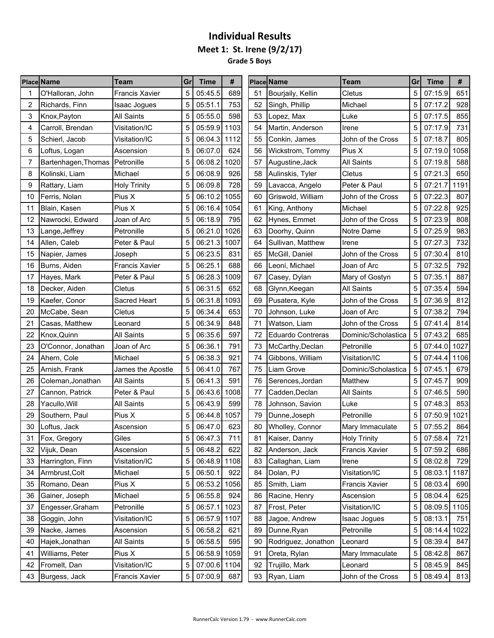**Meet 1: St. Irene (9/2/17)**

**Grade 5 Boys** s e

|    | <b>Place Name</b>              | Team                  | Grl | <b>Time</b>  | #    |    | <b>Place Name</b>   | <b>Team</b>           | Gr | <b>Time</b>  | #    |
|----|--------------------------------|-----------------------|-----|--------------|------|----|---------------------|-----------------------|----|--------------|------|
|    | O'Halloran, John               | <b>Francis Xavier</b> | 5   | 05:45.5      | 689  | 51 | Bourjaily, Kellin   | Cletus                | 5  | 07:15.9      | 651  |
| 2  | Richards, Finn                 | <b>Isaac Jogues</b>   | 5   | 05:51.1      | 753  | 52 | Singh, Phillip      | Michael               | 5  | 07:17.2      | 928  |
| 3  | Knox, Payton                   | <b>All Saints</b>     | 5   | 05:55.0      | 598  | 53 | Lopez, Max          | Luke                  | 5  | 07:17.5      | 855  |
| 4  | Carroll, Brendan               | Visitation/IC         | 5   | 05:59.9      | 1103 | 54 | Martin, Anderson    | Irene                 | 5  | 07:17.9      | 731  |
| 5  | Schierl, Jacob                 | Visitation/IC         | 5   | 06:04.3      | 1112 | 55 | Conkin, James       | John of the Cross     | 5  | 07:18.7      | 805  |
| 6  | Loftus, Logan                  | Ascension             | 5   | 06:07.0      | 624  | 56 | Wickstrom, Tommy    | Pius X                | 5  | 07:19.0      | 1058 |
| 7  | Bartenhagen, Thomas Petronille |                       | 5   | 06:08.2      | 1020 | 57 | Augustine, Jack     | <b>All Saints</b>     | 5  | 07:19.8      | 588  |
| 8  | Kolinski, Liam                 | Michael               | 5   | 06:08.9      | 926  | 58 | Aulinskis, Tyler    | Cletus                | 5  | 07:21.3      | 650  |
| 9  | Rattary, Liam                  | <b>Holy Trinity</b>   | 5   | 06:09.8      | 728  | 59 | Lavacca, Angelo     | Peter & Paul          | 5  | 07:21.7      | 1191 |
| 10 | Ferris, Nolan                  | Pius X                | 5   | 06:10.2      | 1055 | 60 | Griswold, William   | John of the Cross     | 5  | 07:22.3      | 807  |
| 11 | Blain, Kasen                   | Pius X                | 5   | 06:16.4      | 1054 | 61 | King, Anthony       | Michael               | 5  | 07:22.8      | 925  |
| 12 | Nawrocki, Edward               | Joan of Arc           |     | 06:18.9      | 795  | 62 | Hynes, Emmet        | John of the Cross     | 5  | 07:23.9      | 808  |
| 13 | Lange,Jeffrey                  | Petronille            | 5   | 06:21.0      | 1026 | 63 | Doorhy, Quinn       | Notre Dame            | 5  | 07:25.9      | 983  |
| 14 | Allen, Caleb                   | Peter & Paul          | 5   | 06:21.3      | 1007 | 64 | Sullivan, Matthew   | Irene                 |    | 07:27.3      | 732  |
| 15 | Napier, James                  | Joseph                | 5   | 06:23.5      | 831  | 65 | McGill, Daniel      | John of the Cross     | 5  | 07:30.4      | 810  |
| 16 | Burns, Aiden                   | <b>Francis Xavier</b> | 5   | 06:25.1      | 688  | 66 | Leoni, Michael      | Joan of Arc           | 5  | 07:32.5      | 792  |
| 17 | Hayes, Mark                    | Peter & Paul          | 5   | 06:28.3      | 1009 | 67 | Casey, Dylan        | Mary of Gostyn        | 5  | 07:35.1      | 887  |
| 18 | Decker, Aiden                  | Cletus                | 5   | 06:31.5      | 652  | 68 | Glynn, Keegan       | <b>All Saints</b>     | 5  | 07:35.4      | 594  |
| 19 | Kaefer, Conor                  | <b>Sacred Heart</b>   | 5   | 06:31.8      | 1093 | 69 | Pusatera, Kyle      | John of the Cross     | 5  | 07:36.9      | 812  |
| 20 | McCabe, Sean                   | Cletus                | 5   | 06:34.4      | 653  | 70 | Johnson, Luke       | Joan of Arc           | 5  | 07:38.2      | 794  |
| 21 | Casas, Matthew                 | Leonard               | 5   | 06:34.9      | 848  | 71 | Watson, Liam        | John of the Cross     | 5  | 07:41.4      | 814  |
| 22 | Knox, Quinn                    | <b>All Saints</b>     | 5   | 06:35.6      | 597  | 72 | Eduardo Contreras   | Dominic/Scholastica   | 5  | 07:43.2      | 685  |
| 23 | O'Connor, Jonathan             | Joan of Arc           | 5   | 06:36.1      | 791  | 73 | McCarthy, Declan    | Petronille            | 5  | 07:44.0      | 1027 |
| 24 | Ahern, Cole                    | Michael               | 5   | 06:38.3      | 921  | 74 | Gibbons, William    | Visitation/IC         | 5  | 07:44.4      | 1106 |
| 25 | Arnish, Frank                  | James the Apostle     | 5   | 06:41.0      | 767  | 75 | Liam Grove          | Dominic/Scholastica   | 5  | 07:45.1      | 679  |
| 26 | Coleman, Jonathan              | <b>All Saints</b>     | 5   | 06:41.3      | 591  | 76 | Serences, Jordan    | Matthew               |    | 07:45.7      | 909  |
| 27 | Cannon, Patrick                | Peter & Paul          | 5   | 06:43.6      | 1008 | 77 | Cadden, Declan      | <b>All Saints</b>     | 5  | 07:46.5      | 590  |
| 28 | Yacullo, Will                  | <b>All Saints</b>     | 5   | 06:43.9      | 599  | 78 | Johnson, Savion     | Luke                  | 5  | 07:48.3      | 853  |
| 29 | Southern, Paul                 | Pius X                | 5   | 06:44.8      | 1057 | 79 | Dunne, Joseph       | Petronille            | 5  | 07:50.9      | 1021 |
| 30 | Loftus, Jack                   | Ascension             | 5   | 06:47.0      | 623  | 80 | Wholley, Connor     | Mary Immaculate       | 5  | 07:55.2      | 864  |
| 31 | Fox, Gregory                   | Giles                 | 5   | 06:47.3      | 711  | 81 | Kaiser, Danny       | <b>Holy Trinity</b>   | 5  | 07:58.4      | 721  |
| 32 | Vijuk, Dean                    | Ascension             | 5   | 06:48.2      | 622  | 82 | Anderson, Jack      | <b>Francis Xavier</b> | 5  | 07:59.2      | 686  |
| 33 | Harrington, Finn               | Visitation/IC         |     | 06:48.9 1108 |      | 83 | Callaghan, Liam     | Irene                 | 5  | 08:02.8      | 729  |
| 34 | Armbrust, Colt                 | Michael               | 5   | 06:50.1      | 922  | 84 | Dolan, PJ           | Visitation/IC         | 5  | 08:03.1      | 1187 |
| 35 | Romano, Dean                   | Pius X                | 5   | 06:53.2      | 1056 | 85 | Smith, Liam         | <b>Francis Xavier</b> | 5  | 08:03.4      | 690  |
| 36 | Gainer, Joseph                 | Michael               | 5   | 06:55.8      | 924  | 86 | Racine, Henry       | Ascension             | 5  | 08:04.4      | 625  |
| 37 | Engesser, Graham               | Petronille            | 5   | 06:57.1      | 1023 | 87 | Frost, Peter        | Visitation/IC         | 5  | 08:09.5 1105 |      |
| 38 | Goggin, John                   | Visitation/IC         | 5   | 06:57.9 1107 |      | 88 | Jagoe, Andrew       | Isaac Jogues          | 5  | 08:13.1      | 751  |
| 39 | Nacke, James                   | Ascension             | 5   | 06:58.2      | 621  | 89 | Dunne, Ryan         | Petronille            |    | 08:14.4      | 1022 |
| 40 | Hajek, Jonathan                | All Saints            | 5   | 06:58.5      | 595  | 90 | Rodriguez, Jonathon | Leonard               | 5  | 08:39.4      | 847  |
| 41 | Williams, Peter                | Pius X                | 5   | 06:58.9 1059 |      | 91 | Oreta, Rylan        | Mary Immaculate       | 5  | 08:42.8      | 867  |
| 42 | Fromelt, Dan                   | Visitation/IC         | 5   | 07:00.6 1104 |      | 92 | Trujillo, Mark      | Leonard               | 5  | 08:45.9      | 845  |
| 43 | Burgess, Jack                  | Francis Xavier        | 5   | 07:00.9      | 687  | 93 | Ryan, Liam          | John of the Cross     | 5  | 08:49.4      | 813  |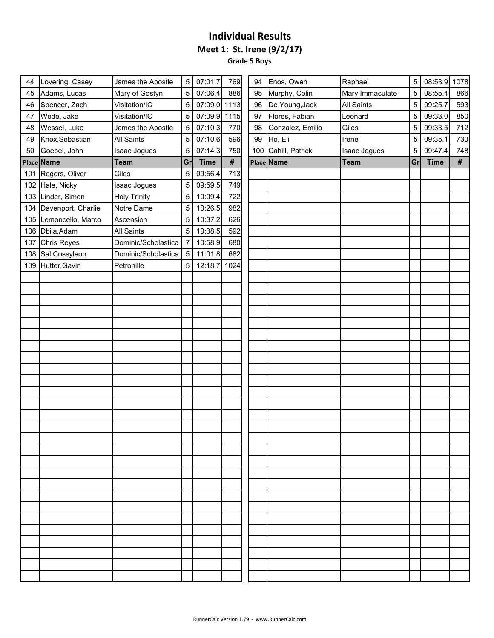**Grade 5 Boys** i.

| 44  | Lovering, Casey        | James the Apostle   | 5  | 07:01.7     | 769        | 94  | Enos, Owen       | Raphael             | 5  | 08:53.9 1078 |     |
|-----|------------------------|---------------------|----|-------------|------------|-----|------------------|---------------------|----|--------------|-----|
| 45  | Adams, Lucas           | Mary of Gostyn      | 5  | 07:06.4     | 886        | 95  | Murphy, Colin    | Mary Immaculate     | 5  | 08:55.4      | 866 |
| 46  | Spencer, Zach          | Visitation/IC       | 5  | 07:09.0     | 1113       | 96  | De Young, Jack   | <b>All Saints</b>   | 5  | 09:25.7      | 593 |
| 47  | Wede, Jake             | Visitation/IC       | 5  | 07:09.9     | 1115       | 97  | Flores, Fabian   | Leonard             | 5  | 09:33.0      | 850 |
| 48  | Wessel, Luke           | James the Apostle   | 5  | 07:10.3     | 770        | 98  | Gonzalez, Emilio | Giles               | 5  | 09:33.5      | 712 |
| 49  | Knox, Sebastian        | <b>All Saints</b>   | 5  | 07:10.6     | 596        | 99  | Ho, Eli          | Irene               | 5  | 09:35.1      | 730 |
| 50  | Goebel, John           | <b>Isaac Jogues</b> | 5  | 07:14.3     | 750        | 100 | Cahill, Patrick  | <b>Isaac Jogues</b> | 5  | 09:47.4      | 748 |
|     | Place Name             | <b>Team</b>         | Gr | <b>Time</b> | $\pmb{\#}$ |     | Place Name       | <b>Team</b>         | Gr | <b>Time</b>  | #   |
|     | 101 Rogers, Oliver     | Giles               | 5  | 09:56.4     | 713        |     |                  |                     |    |              |     |
|     | 102 Hale, Nicky        | Isaac Jogues        | 5  | 09:59.5     | 749        |     |                  |                     |    |              |     |
|     | 103 Linder, Simon      | <b>Holy Trinity</b> | 5  | 10:09.4     | 722        |     |                  |                     |    |              |     |
|     | 104 Davenport, Charlie | Notre Dame          | 5  | 10:26.5     | 982        |     |                  |                     |    |              |     |
|     | 105 Lemoncello, Marco  | Ascension           | 5  | 10:37.2     | 626        |     |                  |                     |    |              |     |
|     | 106 Dbila, Adam        | <b>All Saints</b>   | 5  | 10:38.5     | 592        |     |                  |                     |    |              |     |
| 107 | <b>Chris Reyes</b>     | Dominic/Scholastica |    | 10:58.9     | 680        |     |                  |                     |    |              |     |
| 108 | Sal Cossyleon          | Dominic/Scholastica | 5  | 11:01.8     | 682        |     |                  |                     |    |              |     |
| 109 | Hutter, Gavin          | Petronille          | 5  | 12:18.7     | 1024       |     |                  |                     |    |              |     |
|     |                        |                     |    |             |            |     |                  |                     |    |              |     |
|     |                        |                     |    |             |            |     |                  |                     |    |              |     |
|     |                        |                     |    |             |            |     |                  |                     |    |              |     |
|     |                        |                     |    |             |            |     |                  |                     |    |              |     |
|     |                        |                     |    |             |            |     |                  |                     |    |              |     |
|     |                        |                     |    |             |            |     |                  |                     |    |              |     |
|     |                        |                     |    |             |            |     |                  |                     |    |              |     |
|     |                        |                     |    |             |            |     |                  |                     |    |              |     |
|     |                        |                     |    |             |            |     |                  |                     |    |              |     |
|     |                        |                     |    |             |            |     |                  |                     |    |              |     |
|     |                        |                     |    |             |            |     |                  |                     |    |              |     |
|     |                        |                     |    |             |            |     |                  |                     |    |              |     |
|     |                        |                     |    |             |            |     |                  |                     |    |              |     |
|     |                        |                     |    |             |            |     |                  |                     |    |              |     |
|     |                        |                     |    |             |            |     |                  |                     |    |              |     |
|     |                        |                     |    |             |            |     |                  |                     |    |              |     |
|     |                        |                     |    |             |            |     |                  |                     |    |              |     |
|     |                        |                     |    |             |            |     |                  |                     |    |              |     |
|     |                        |                     |    |             |            |     |                  |                     |    |              |     |
|     |                        |                     |    |             |            |     |                  |                     |    |              |     |
|     |                        |                     |    |             |            |     |                  |                     |    |              |     |
|     |                        |                     |    |             |            |     |                  |                     |    |              |     |
|     |                        |                     |    |             |            |     |                  |                     |    |              |     |
|     |                        |                     |    |             |            |     |                  |                     |    |              |     |
|     |                        |                     |    |             |            |     |                  |                     |    |              |     |
|     |                        |                     |    |             |            |     |                  |                     |    |              |     |
|     |                        |                     |    |             |            |     |                  |                     |    |              |     |
|     |                        |                     |    |             |            |     |                  |                     |    |              |     |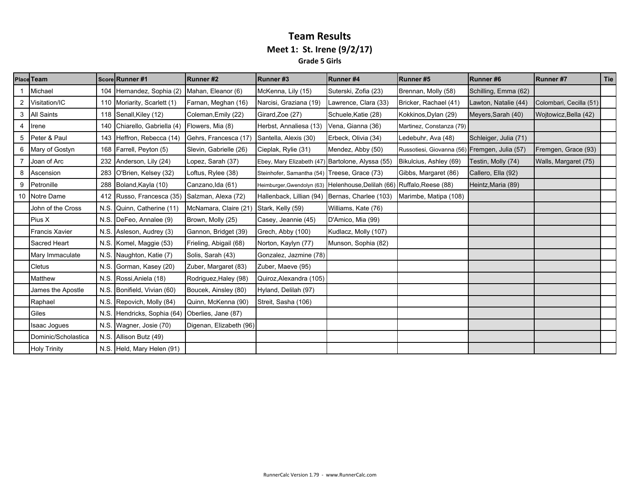#### **Team Results Meet 1: St. Irene (9/2/17) Grade 5 Girls**

|   | <b>Place Team</b>     |      | Score Runner #1            | Runner#2                | Runner#3                                         | Runner#4                                                                | Runner#5                                      | Runner#6              | <b>Runner#7</b>         | Tie |
|---|-----------------------|------|----------------------------|-------------------------|--------------------------------------------------|-------------------------------------------------------------------------|-----------------------------------------------|-----------------------|-------------------------|-----|
|   | Michael               | 104  | Hernandez, Sophia (2)      | Mahan, Eleanor (6)      | McKenna, Lily (15)                               | Suterski, Zofia (23)                                                    | Brennan, Molly (58)                           | Schilling, Emma (62)  |                         |     |
|   | Visitation/IC         | 110  | Moriarity, Scarlett (1)    | Farnan, Meghan (16)     | Narcisi, Graziana (19)                           | Lawrence, Clara (33)                                                    | Bricker, Rachael (41)                         | Lawton, Natalie (44)  | Colombari, Cecilla (51) |     |
| 3 | <b>All Saints</b>     |      | 118 Senall, Kiley (12)     | Coleman, Emily (22)     | Girard, Zoe (27)                                 | Schuele, Katie (28)                                                     | Kokkinos, Dylan (29)                          | Meyers, Sarah (40)    | Wojtowicz, Bella (42)   |     |
| 4 | Irene                 | 140  | Chiarello, Gabriella (4)   | Flowers, Mia (8)        | Herbst, Annaliesa (13)                           | Vena, Gianna (36)                                                       | Martinez, Constanza (79)                      |                       |                         |     |
| 5 | Peter & Paul          | 143  | Heffron, Rebecca (14)      | Gehrs, Francesca (17)   | Santella, Alexis (30)                            | Erbeck, Olivia (34)                                                     | Ledebuhr, Ava (48)                            | Schleiger, Julia (71) |                         |     |
| 6 | Mary of Gostyn        | 168  | Farrell, Peyton (5)        | Slevin, Gabrielle (26)  | Cieplak, Rylie (31)                              | Mendez, Abby (50)                                                       | Russotiesi, Giovanna (56) Fremgen, Julia (57) |                       | Fremgen, Grace (93)     |     |
|   | Joan of Arc           | 232  | Anderson, Lily (24)        | Lopez, Sarah (37)       | Ebey, Mary Elizabeth (47) Bartolone, Alyssa (55) |                                                                         | Bikulcius, Ashley (69)                        | Testin, Molly (74)    | Walls, Margaret (75)    |     |
| 8 | Ascension             | 283  | O'Brien, Kelsey (32)       | Loftus, Rylee (38)      | Steinhofer, Samantha (54) Treese, Grace (73)     |                                                                         | Gibbs, Margaret (86)                          | Callero, Ella (92)    |                         |     |
| 9 | Petronille            | 288  | Boland, Kayla (10)         | Canzano, Ida (61)       |                                                  | Heimburger, Gwendolyn (63) Helenhouse, Delilah (66) Ruffalo, Reese (88) |                                               | Heintz, Maria (89)    |                         |     |
|   | 10 Notre Dame         | 412  | Russo, Francesca (35)      | Salzman, Alexa (72)     | Hallenback, Lillian (94)                         | Bernas, Charlee (103)                                                   | Marimbe, Matipa (108)                         |                       |                         |     |
|   | John of the Cross     | N.S. | Quinn, Catherine (11)      | McNamara, Claire (21)   | Stark, Kelly (59)                                | Williams, Kate (76)                                                     |                                               |                       |                         |     |
|   | Pius X                |      | N.S. DeFeo, Annalee (9)    | Brown, Molly (25)       | Casey, Jeannie (45)                              | D'Amico, Mia (99)                                                       |                                               |                       |                         |     |
|   | <b>Francis Xavier</b> |      | N.S. Asleson, Audrey (3)   | Gannon, Bridget (39)    | Grech, Abby (100)                                | Kudlacz, Molly (107)                                                    |                                               |                       |                         |     |
|   | Sacred Heart          |      | N.S. Komel, Maggie (53)    | Frieling, Abigail (68)  | Norton, Kaylyn (77)                              | Munson, Sophia (82)                                                     |                                               |                       |                         |     |
|   | Mary Immaculate       | N.S. | Naughton, Katie (7)        | Solis, Sarah (43)       | Gonzalez, Jazmine (78)                           |                                                                         |                                               |                       |                         |     |
|   | <b>Cletus</b>         | N.S. | Gorman, Kasey (20)         | Zuber, Margaret (83)    | Zuber, Maeve (95)                                |                                                                         |                                               |                       |                         |     |
|   | Matthew               | N.S. | Rossi, Aniela (18)         | Rodriguez, Haley (98)   | Quiroz, Alexandra (105)                          |                                                                         |                                               |                       |                         |     |
|   | James the Apostle     | N.S. | Bonifield, Vivian (60)     | Boucek, Ainsley (80)    | Hyland, Delilah (97)                             |                                                                         |                                               |                       |                         |     |
|   | Raphael               | N.S. | Repovich, Molly (84)       | Quinn, McKenna (90)     | Streit, Sasha (106)                              |                                                                         |                                               |                       |                         |     |
|   | Giles                 | N.S. | Hendricks, Sophia (64)     | Oberlies, Jane (87)     |                                                  |                                                                         |                                               |                       |                         |     |
|   | <b>Isaac Jogues</b>   | N.S. | Wagner, Josie (70)         | Digenan, Elizabeth (96) |                                                  |                                                                         |                                               |                       |                         |     |
|   | Dominic/Scholastica   | N.S. | Allison Butz (49)          |                         |                                                  |                                                                         |                                               |                       |                         |     |
|   | <b>Holy Trinity</b>   |      | N.S. Held, Mary Helen (91) |                         |                                                  |                                                                         |                                               |                       |                         |     |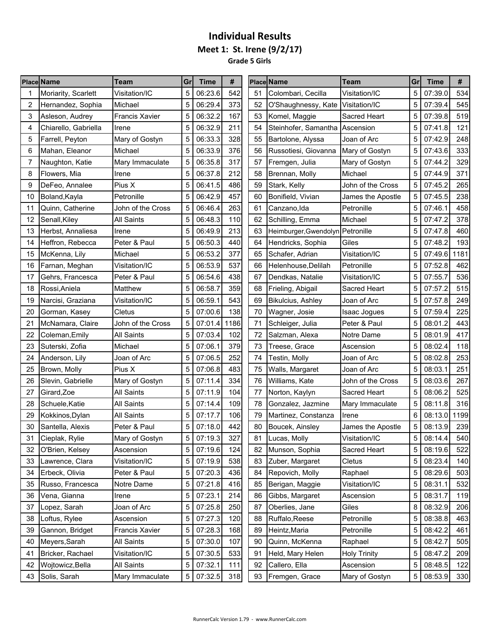**Grade 5 Girls** . e

|    | <b>Place Name</b>    | Team                  | Gr | <b>Time</b> | #    |    | <b>Place Name</b>                 | Team                | Grl | <b>Time</b> | #    |
|----|----------------------|-----------------------|----|-------------|------|----|-----------------------------------|---------------------|-----|-------------|------|
|    | Moriarity, Scarlett  | Visitation/IC         | 5  | 06:23.6     | 542  | 51 | Colombari, Cecilla                | Visitation/IC       | 5   | 07:39.0     | 534  |
| 2  | Hernandez, Sophia    | Michael               | 5  | 06:29.4     | 373  | 52 | O'Shaughnessy, Kate Visitation/IC |                     | 5   | 07:39.4     | 545  |
| 3  | Asleson, Audrey      | <b>Francis Xavier</b> | 5  | 06:32.2     | 167  | 53 | Komel, Maggie                     | Sacred Heart        | 5   | 07:39.8     | 519  |
| 4  | Chiarello, Gabriella | Irene                 | 5  | 06:32.9     | 211  | 54 | Steinhofer, Samantha              | Ascension           | 5   | 07:41.8     | 121  |
| 5  | Farrell, Peyton      | Mary of Gostyn        | 5  | 06:33.3     | 328  | 55 | Bartolone, Alyssa                 | Joan of Arc         | 5   | 07:42.9     | 248  |
| 6  | Mahan, Eleanor       | Michael               | 5  | 06:33.9     | 376  | 56 | Russotiesi, Giovanna              | Mary of Gostyn      | 5   | 07:43.6     | 333  |
| 7  | Naughton, Katie      | Mary Immaculate       | 5  | 06:35.8     | 317  | 57 | Fremgen, Julia                    | Mary of Gostyn      | 5   | 07:44.2     | 329  |
| 8  | Flowers, Mia         | Irene                 | 5  | 06:37.8     | 212  | 58 | Brennan, Molly                    | Michael             | 5   | 07:44.9     | 371  |
| 9  | DeFeo, Annalee       | Pius X                | 5  | 06:41.5     | 486  | 59 | Stark, Kelly                      | John of the Cross   | 5   | 07:45.2     | 265  |
| 10 | Boland, Kayla        | Petronille            | 5  | 06:42.9     | 457  | 60 | Bonifield, Vivian                 | James the Apostle   | 5   | 07:45.5     | 238  |
| 11 | Quinn, Catherine     | John of the Cross     | 5  | 06:46.4     | 263  | 61 | Canzano, Ida                      | Petronille          | 5   | 07:46.1     | 458  |
| 12 | Senall, Kiley        | <b>All Saints</b>     | 5  | 06:48.3     | 110  | 62 | Schilling, Emma                   | Michael             | 5   | 07:47.2     | 378  |
| 13 | Herbst, Annaliesa    | Irene                 | 5  | 06:49.9     | 213  | 63 | Heimburger, Gwendolyn Petronille  |                     | 5   | 07:47.8     | 460  |
| 14 | Heffron, Rebecca     | Peter & Paul          | 5  | 06:50.3     | 440  | 64 | Hendricks, Sophia                 | Giles               | 5   | 07:48.2     | 193  |
| 15 | McKenna, Lily        | Michael               | 5  | 06:53.2     | 377  | 65 | Schafer, Adrian                   | Visitation/IC       | 5   | 07:49.6     | 1181 |
| 16 | Farnan, Meghan       | Visitation/IC         | 5  | 06:53.9     | 537  | 66 | Helenhouse, Delilah               | Petronille          | 5   | 07:52.8     | 462  |
| 17 | Gehrs, Francesca     | Peter & Paul          | 5  | 06:54.6     | 438  | 67 | Dendkas, Natalie                  | Visitation/IC       | 5   | 07:55.7     | 536  |
| 18 | Rossi, Aniela        | Matthew               | 5  | 06:58.7     | 359  | 68 | Frieling, Abigail                 | Sacred Heart        | 5   | 07:57.2     | 515  |
| 19 | Narcisi, Graziana    | Visitation/IC         | 5  | 06:59.1     | 543  | 69 | <b>Bikulcius, Ashley</b>          | Joan of Arc         | 5   | 07:57.8     | 249  |
| 20 | Gorman, Kasey        | Cletus                | 5  | 07:00.6     | 138  | 70 | Wagner, Josie                     | Isaac Jogues        | 5   | 07:59.4     | 225  |
| 21 | McNamara, Claire     | John of the Cross     | 5  | 07:01.4     | 1186 | 71 | Schleiger, Julia                  | Peter & Paul        | 5   | 08:01.2     | 443  |
| 22 | Coleman, Emily       | <b>All Saints</b>     |    | 07:03.4     | 102  | 72 | Salzman, Alexa                    | Notre Dame          | 5   | 08:01.9     | 417  |
| 23 | Suterski, Zofia      | Michael               | 5  | 07:06.1     | 379  | 73 | Treese, Grace                     | Ascension           | 5   | 08:02.4     | 118  |
| 24 | Anderson, Lily       | Joan of Arc           | 5  | 07:06.5     | 252  | 74 | Testin, Molly                     | Joan of Arc         | 5   | 08:02.8     | 253  |
| 25 | Brown, Molly         | Pius X                | 5  | 07:06.8     | 483  | 75 | Walls, Margaret                   | Joan of Arc         | 5   | 08:03.1     | 251  |
| 26 | Slevin, Gabrielle    | Mary of Gostyn        | 5  | 07:11.4     | 334  | 76 | Williams, Kate                    | John of the Cross   | 5   | 08:03.6     | 267  |
| 27 | Girard,Zoe           | <b>All Saints</b>     | 5  | 07:11.9     | 104  | 77 | Norton, Kaylyn                    | Sacred Heart        | 5   | 08:06.2     | 525  |
| 28 | Schuele, Katie       | <b>All Saints</b>     | 5  | 07:14.4     | 109  | 78 | Gonzalez, Jazmine                 | Mary Immaculate     | 5   | 08:11.8     | 316  |
| 29 | Kokkinos, Dylan      | <b>All Saints</b>     | 5  | 07:17.7     | 106  | 79 | Martinez, Constanza               | Irene               | 6   | 08:13.0     | 1199 |
| 30 | Santella, Alexis     | Peter & Paul          | 5  | 07:18.0     | 442  | 80 | Boucek, Ainsley                   | James the Apostle   | 5   | 08:13.9     | 239  |
| 31 | Cieplak, Rylie       | Mary of Gostyn        | 5  | 07:19.3     | 327  | 81 | Lucas, Molly                      | Visitation/IC       | 5   | 08:14.4     | 540  |
| 32 | O'Brien, Kelsey      | Ascension             | 5  | 07:19.6     | 124  | 82 | Munson, Sophia                    | Sacred Heart        | 5   | 08:19.6     | 522  |
| 33 | Lawrence, Clara      | Visitation/IC         | 5  | 07:19.9     | 538  | 83 | Zuber, Margaret                   | Cletus              | 5   | 08:23.4     | 140  |
| 34 | Erbeck, Olivia       | Peter & Paul          | 5  | 07:20.3     | 436  | 84 | Repovich, Molly                   | Raphael             | 5   | 08:29.6     | 503  |
| 35 | Russo, Francesca     | Notre Dame            | 5  | 07:21.8     | 416  | 85 | Berigan, Maggie                   | Visitation/IC       | 5   | 08:31.1     | 532  |
| 36 | Vena, Gianna         | Irene                 | 5  | 07:23.1     | 214  | 86 | Gibbs, Margaret                   | Ascension           | 5   | 08:31.7     | 119  |
| 37 | Lopez, Sarah         | Joan of Arc           | 5  | 07:25.8     | 250  | 87 | Oberlies, Jane                    | Giles               | 8   | 08:32.9     | 206  |
| 38 | Loftus, Rylee        | Ascension             | 5  | 07:27.3     | 120  | 88 | Ruffalo, Reese                    | Petronille          | 5   | 08:38.8     | 463  |
| 39 | Gannon, Bridget      | <b>Francis Xavier</b> | 5  | 07:28.3     | 168  | 89 | Heintz, Maria                     | Petronille          | 5   | 08:42.2     | 461  |
| 40 | Meyers, Sarah        | All Saints            | 5  | 07:30.0     | 107  | 90 | Quinn, McKenna                    | Raphael             | 5   | 08:42.7     | 505  |
| 41 | Bricker, Rachael     | Visitation/IC         | 5  | 07:30.5     | 533  | 91 | Held, Mary Helen                  | <b>Holy Trinity</b> | 5   | 08:47.2     | 209  |
| 42 | Wojtowicz, Bella     | <b>All Saints</b>     | 5  | 07:32.1     | 111  | 92 | Callero, Ella                     | Ascension           | 5   | 08:48.5     | 122  |
| 43 | Solis, Sarah         | Mary Immaculate       | 5  | 07:32.5     | 318  | 93 | Fremgen, Grace                    | Mary of Gostyn      | 5   | 08:53.9     | 330  |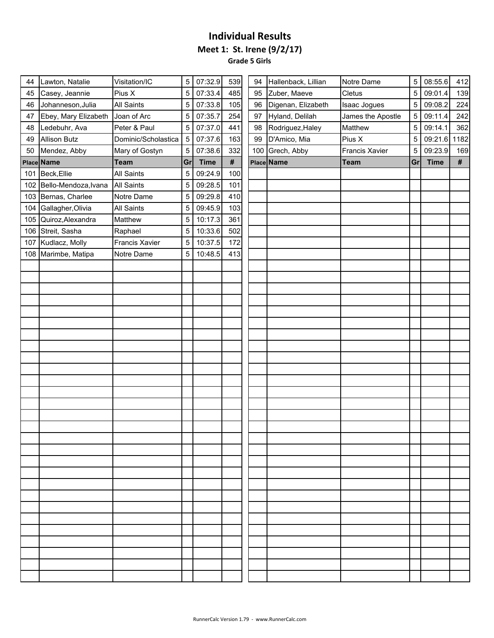**Grade 5 Girls**

| 44  | Lawton, Natalie          | Visitation/IC       | 5  | 07:32.9     | 539  | 94 | Hallenback, Lillian | Notre Dame            | 5  | 08:55.6     | 412  |
|-----|--------------------------|---------------------|----|-------------|------|----|---------------------|-----------------------|----|-------------|------|
| 45  | Casey, Jeannie           | Pius X              | 5  | 07:33.4     | 485  | 95 | Zuber, Maeve        | Cletus                | 5  | 09:01.4     | 139  |
| 46  | Johanneson, Julia        | <b>All Saints</b>   | 5  | 07:33.8     | 105  | 96 | Digenan, Elizabeth  | <b>Isaac Jogues</b>   | 5  | 09:08.2     | 224  |
| 47  | Ebey, Mary Elizabeth     | Joan of Arc         | 5  | 07:35.7     | 254  | 97 | Hyland, Delilah     | James the Apostle     | 5  | 09:11.4     | 242  |
| 48  | Ledebuhr, Ava            | Peter & Paul        | 5  | 07:37.0     | 441  | 98 | Rodriguez, Haley    | Matthew               | 5  | 09:14.1     | 362  |
| 49  | <b>Allison Butz</b>      | Dominic/Scholastica | 5  | 07:37.6     | 163  | 99 | D'Amico, Mia        | Pius X                | 5  | 09:21.6     | 1182 |
| 50  | Mendez, Abby             | Mary of Gostyn      | 5  | 07:38.6     | 332  |    | 100 Grech, Abby     | <b>Francis Xavier</b> | 5  | 09:23.9     | 169  |
|     | Place Name               | <b>Team</b>         | Gr | <b>Time</b> | $\#$ |    | <b>Place Name</b>   | <b>Team</b>           | Gr | <b>Time</b> | #    |
|     | 101 Beck, Ellie          | <b>All Saints</b>   | 5  | 09:24.9     | 100  |    |                     |                       |    |             |      |
|     | 102 Bello-Mendoza, Ivana | <b>All Saints</b>   | 5  | 09:28.5     | 101  |    |                     |                       |    |             |      |
|     | 103 Bernas, Charlee      | Notre Dame          | 5  | 09:29.8     | 410  |    |                     |                       |    |             |      |
|     | 104 Gallagher, Olivia    | <b>All Saints</b>   | 5  | 09:45.9     | 103  |    |                     |                       |    |             |      |
|     | 105 Quiroz, Alexandra    | Matthew             | 5  | 10:17.3     | 361  |    |                     |                       |    |             |      |
|     | 106 Streit, Sasha        | Raphael             | 5  | 10:33.6     | 502  |    |                     |                       |    |             |      |
| 107 | Kudlacz, Molly           | Francis Xavier      | 5  | 10:37.5     | 172  |    |                     |                       |    |             |      |
|     | 108 Marimbe, Matipa      | Notre Dame          | 5  | 10:48.5     | 413  |    |                     |                       |    |             |      |
|     |                          |                     |    |             |      |    |                     |                       |    |             |      |
|     |                          |                     |    |             |      |    |                     |                       |    |             |      |
|     |                          |                     |    |             |      |    |                     |                       |    |             |      |
|     |                          |                     |    |             |      |    |                     |                       |    |             |      |
|     |                          |                     |    |             |      |    |                     |                       |    |             |      |
|     |                          |                     |    |             |      |    |                     |                       |    |             |      |
|     |                          |                     |    |             |      |    |                     |                       |    |             |      |
|     |                          |                     |    |             |      |    |                     |                       |    |             |      |
|     |                          |                     |    |             |      |    |                     |                       |    |             |      |
|     |                          |                     |    |             |      |    |                     |                       |    |             |      |
|     |                          |                     |    |             |      |    |                     |                       |    |             |      |
|     |                          |                     |    |             |      |    |                     |                       |    |             |      |
|     |                          |                     |    |             |      |    |                     |                       |    |             |      |
|     |                          |                     |    |             |      |    |                     |                       |    |             |      |
|     |                          |                     |    |             |      |    |                     |                       |    |             |      |
|     |                          |                     |    |             |      |    |                     |                       |    |             |      |
|     |                          |                     |    |             |      |    |                     |                       |    |             |      |
|     |                          |                     |    |             |      |    |                     |                       |    |             |      |
|     |                          |                     |    |             |      |    |                     |                       |    |             |      |
|     |                          |                     |    |             |      |    |                     |                       |    |             |      |
|     |                          |                     |    |             |      |    |                     |                       |    |             |      |
|     |                          |                     |    |             |      |    |                     |                       |    |             |      |
|     |                          |                     |    |             |      |    |                     |                       |    |             |      |
|     |                          |                     |    |             |      |    |                     |                       |    |             |      |
|     |                          |                     |    |             |      |    |                     |                       |    |             |      |
|     |                          |                     |    |             |      |    |                     |                       |    |             |      |
|     |                          |                     |    |             |      |    |                     |                       |    |             |      |
|     |                          |                     |    |             |      |    |                     |                       |    |             |      |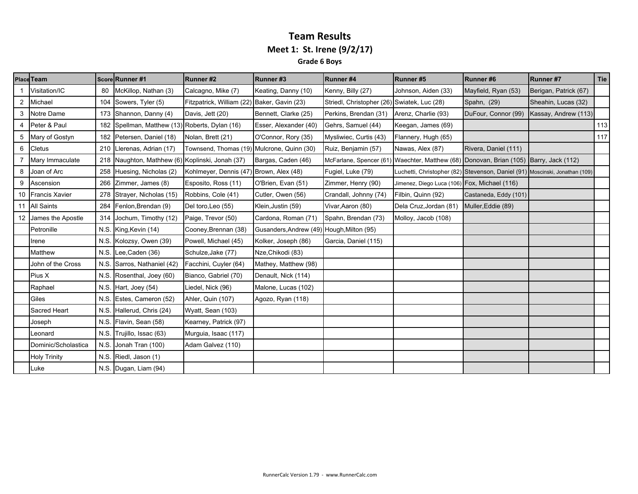### **Team Results Meet 1: St. Irene (9/2/17) Grade 6 Boys**

| Place Team           |    | Score Runner #1                                 | Runner#2                                    | Runner#3                                  | Runner#4                                    | Runner#5                                                                              | Runner#6              | Runner #7             | Tie |
|----------------------|----|-------------------------------------------------|---------------------------------------------|-------------------------------------------|---------------------------------------------|---------------------------------------------------------------------------------------|-----------------------|-----------------------|-----|
| Visitation/IC        | 80 | McKillop, Nathan (3)                            | Calcagno, Mike (7)                          | Keating, Danny (10)                       | Kenny, Billy (27)                           | Johnson, Aiden (33)                                                                   | Mayfield, Ryan (53)   | Berigan, Patrick (67) |     |
| 2 Michael            |    | 104 Sowers, Tyler (5)                           | Fitzpatrick, William (22) Baker, Gavin (23) |                                           | Striedl, Christopher (26) Swiatek, Luc (28) |                                                                                       | Spahn, (29)           | Sheahin, Lucas (32)   |     |
| 3 Notre Dame         |    | 173 Shannon, Danny (4)                          | Davis, Jett (20)                            | Bennett, Clarke (25)                      | Perkins, Brendan (31)                       | Arenz, Charlie (93)                                                                   | DuFour, Connor (99)   | Kassay, Andrew (113)  |     |
| 4 Peter & Paul       |    | 182 Spellman, Matthew (13) Roberts, Dylan (16)  |                                             | Esser, Alexander (40)                     | Gehrs, Samuel (44)                          | Keegan, James (69)                                                                    |                       |                       | 113 |
| 5 Mary of Gostyn     |    | 182 Petersen, Daniel (18)                       | Nolan, Brett (21)                           | O'Connor, Rory (35)                       | Mysliwiec, Curtis (43)                      | Flannery, Hugh (65)                                                                   |                       |                       | 117 |
| 6 Cletus             |    | 210 Llerenas, Adrian (17)                       | Townsend, Thomas (19) Mulcrone, Quinn (30)  |                                           | Ruiz, Benjamin (57)                         | Nawas, Alex (87)                                                                      | Rivera, Daniel (111)  |                       |     |
| Mary Immaculate      |    | 218 Naughton, Mathhew (6) Koplinski, Jonah (37) |                                             | Bargas, Caden (46)                        |                                             | McFarlane, Spencer (61) Waechter, Matthew (68) Donovan, Brian (105) Barry, Jack (112) |                       |                       |     |
| 8 Joan of Arc        |    | 258 Huesing, Nicholas (2)                       | Kohlmeyer, Dennis (47) Brown, Alex (48)     |                                           | Fugiel, Luke (79)                           | Luchetti, Christopher (82) Stevenson, Daniel (91) Moscinski, Jonathan (109)           |                       |                       |     |
| 9 Ascension          |    | 266 Zimmer, James (8)                           | Esposito, Ross (11)                         | O'Brien, Evan (51)                        | Zimmer, Henry (90)                          | Jimenez, Diego Luca (106) Fox, Michael (116)                                          |                       |                       |     |
| 10 Francis Xavier    |    | 278 Strayer, Nicholas (15)                      | Robbins, Cole (41)                          | Cutler, Owen (56)                         | Crandall, Johnny (74)                       | Filbin, Quinn (92)                                                                    | Castaneda, Eddy (101) |                       |     |
| 11 All Saints        |    | 284 Fenlon, Brendan (9)                         | Del toro, Leo (55)                          | Klein, Justin (59)                        | Vivar, Aaron (80)                           | Dela Cruz, Jordan (81)                                                                | Muller, Eddie (89)    |                       |     |
| 12 James the Apostle |    | 314 Jochum, Timothy (12)                        | Paige, Trevor (50)                          | Cardona, Roman (71)                       | Spahn, Brendan (73)                         | Molloy, Jacob (108)                                                                   |                       |                       |     |
| Petronille           |    | N.S. King, Kevin (14)                           | Cooney, Brennan (38)                        | Gusanders, Andrew (49) Hough, Milton (95) |                                             |                                                                                       |                       |                       |     |
| Irene                |    | N.S. Kolozsy, Owen (39)                         | Powell, Michael (45)                        | Kolker, Joseph (86)                       | Garcia, Daniel (115)                        |                                                                                       |                       |                       |     |
| Matthew              |    | N.S. Lee, Caden (36)                            | Schulze, Jake (77)                          | Nze, Chikodi (83)                         |                                             |                                                                                       |                       |                       |     |
| John of the Cross    |    | N.S. Sarros, Nathaniel (42)                     | Facchini, Cuyler (64)                       | Mathey, Matthew (98)                      |                                             |                                                                                       |                       |                       |     |
| Pius X               |    | N.S. Rosenthal, Joey (60)                       | Bianco, Gabriel (70)                        | Denault, Nick (114)                       |                                             |                                                                                       |                       |                       |     |
| Raphael              |    | N.S. Hart, Joey $(54)$                          | Liedel, Nick (96)                           | Malone, Lucas (102)                       |                                             |                                                                                       |                       |                       |     |
| Giles                |    | N.S. Estes, Cameron (52)                        | Ahler, Quin (107)                           | Agozo, Ryan (118)                         |                                             |                                                                                       |                       |                       |     |
| Sacred Heart         |    | N.S. Hallerud, Chris (24)                       | Wyatt, Sean (103)                           |                                           |                                             |                                                                                       |                       |                       |     |
| Joseph               |    | N.S. Flavin, Sean (58)                          | Kearney, Patrick (97)                       |                                           |                                             |                                                                                       |                       |                       |     |
| Leonard              |    | N.S. Trujillo, Issac (63)                       | Murguia, Isaac (117)                        |                                           |                                             |                                                                                       |                       |                       |     |
| Dominic/Scholastica  |    | N.S. Jonah Tran (100)                           | Adam Galvez (110)                           |                                           |                                             |                                                                                       |                       |                       |     |
| <b>Holy Trinity</b>  |    | N.S. Riedl, Jason (1)                           |                                             |                                           |                                             |                                                                                       |                       |                       |     |
| Luke                 |    | N.S. Dugan, Liam (94)                           |                                             |                                           |                                             |                                                                                       |                       |                       |     |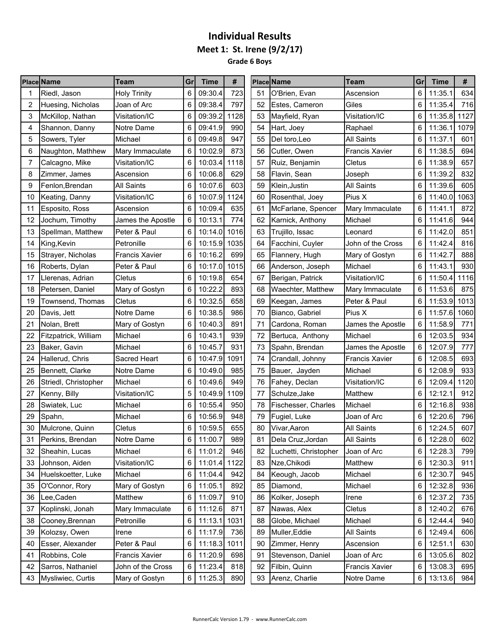**Grade 6 Boys** . .

| 723<br>6<br>09:30.4<br>O'Brien, Evan<br>6<br>Riedl, Jason<br><b>Holy Trinity</b><br>51<br>Ascension<br>09:38.4<br>797<br>Huesing, Nicholas<br>Joan of Arc<br>6<br>52<br>Estes, Cameron<br>Giles<br>6<br>2<br>6<br>09:39.2<br>1128<br>53<br>Visitation/IC<br>6<br>3<br>McKillop, Nathan<br>Visitation/IC<br>Mayfield, Ryan | 11:35.1<br>634<br>716<br>11:35.4<br>11:35.8<br>1127 |
|---------------------------------------------------------------------------------------------------------------------------------------------------------------------------------------------------------------------------------------------------------------------------------------------------------------------------|-----------------------------------------------------|
|                                                                                                                                                                                                                                                                                                                           |                                                     |
|                                                                                                                                                                                                                                                                                                                           |                                                     |
|                                                                                                                                                                                                                                                                                                                           |                                                     |
| 6<br>09:41.9<br>990<br>54<br>6<br>Shannon, Danny<br>Notre Dame<br>Hart, Joey<br>Raphael<br>4                                                                                                                                                                                                                              | 11:36.1<br>1079                                     |
| 6<br>09:49.8<br>947<br><b>All Saints</b><br>6<br>5<br>Sowers, Tyler<br>Michael<br>55<br>Del toro, Leo                                                                                                                                                                                                                     | 11:37.1<br>601                                      |
| 873<br>6<br>10:02.9<br>56<br><b>Francis Xavier</b><br>6<br>6<br>Naughton, Mathhew<br>Mary Immaculate<br>Cutler, Owen                                                                                                                                                                                                      | 694<br>11:38.5                                      |
| Visitation/IC<br>6<br>10:03.4<br>1118<br>57<br>Cletus<br>6<br>Calcagno, Mike<br>Ruiz, Benjamin<br>7                                                                                                                                                                                                                       | 11:38.9<br>657                                      |
| 6<br>10:06.8<br>629<br>58<br>6<br>8<br>Zimmer, James<br>Ascension<br>Flavin, Sean<br>Joseph                                                                                                                                                                                                                               | 832<br>11:39.2                                      |
| <b>All Saints</b><br>6<br>10:07.6<br>603<br>59<br><b>All Saints</b><br>6<br>9<br>Fenlon, Brendan<br>Klein, Justin                                                                                                                                                                                                         | 11:39.6<br>605                                      |
| Visitation/IC<br>6<br>10:07.9<br>1124<br>Rosenthal, Joey<br>Pius X<br>6<br>10<br>Keating, Danny<br>60                                                                                                                                                                                                                     | 1063<br>11:40.0                                     |
| 635<br>6<br>10:09.4<br>61<br>6<br>Esposito, Ross<br>Ascension<br>McFarlane, Spencer<br>Mary Immaculate<br>11                                                                                                                                                                                                              | 872<br>11:41.1                                      |
| 774<br>Jochum, Timothy<br>10:13.1<br>62<br>6<br>12<br>James the Apostle<br>6<br>Karnick, Anthony<br>Michael                                                                                                                                                                                                               | 944<br>11:41.6                                      |
| Peter & Paul<br>6<br>10:14.0<br>1016<br>63<br>6<br>13<br>Spellman, Matthew<br>Trujillo, Issac<br>Leonard                                                                                                                                                                                                                  | 851<br>11:42.0                                      |
| Petronille<br>6<br>10:15.9 1035<br>6<br>King, Kevin<br>64<br>Facchini, Cuyler<br>John of the Cross<br>14                                                                                                                                                                                                                  | 11:42.4<br>816                                      |
| 10:16.2<br>15<br><b>Francis Xavier</b><br>6<br>699<br>Mary of Gostyn<br>6<br>Strayer, Nicholas<br>65<br>Flannery, Hugh                                                                                                                                                                                                    | 888<br>11:42.7                                      |
| Peter & Paul<br>6<br>10:17.0<br>1015<br>66<br>6<br>16<br>Roberts, Dylan<br>Anderson, Joseph<br>Michael                                                                                                                                                                                                                    | 930<br>11:43.1                                      |
| Cletus<br>6<br>10:19.8<br>654<br>67<br>6<br>Llerenas, Adrian<br>Berigan, Patrick<br>Visitation/IC<br>17                                                                                                                                                                                                                   | 11:50.4<br>1116                                     |
| 6<br>10:22.2<br>893<br>6<br>18<br>Petersen, Daniel<br>Mary of Gostyn<br>68<br>Waechter, Matthew<br>Mary Immaculate                                                                                                                                                                                                        | 11:53.6<br>875                                      |
| 658<br>6<br>10:32.5<br>6<br>19<br>Townsend, Thomas<br>Cletus<br>69<br>Peter & Paul<br>Keegan, James                                                                                                                                                                                                                       | 11:53.9<br>1013                                     |
| 10:38.5<br>986<br>Pius X<br>6<br>70<br>Bianco, Gabriel<br>6<br>20<br>Davis, Jett<br>Notre Dame                                                                                                                                                                                                                            | 1060<br>11:57.6                                     |
| 891<br>6<br>10:40.3<br>71<br>6<br>21<br>Nolan, Brett<br>Mary of Gostyn<br>Cardona, Roman<br>James the Apostle                                                                                                                                                                                                             | 11:58.9<br>771                                      |
| 6<br>10:43.1<br>939<br>72<br>6<br>22<br>Fitzpatrick, William<br>Michael<br>Bertuca, Anthony<br>Michael                                                                                                                                                                                                                    | 12:03.5<br>934                                      |
| 10:45.7<br>931<br>73<br>6<br>23<br>Baker, Gavin<br>Michael<br>6<br>Spahn, Brendan<br>James the Apostle                                                                                                                                                                                                                    | 777<br>12:07.9                                      |
| Sacred Heart<br>6<br>10:47.9<br>1091<br>6<br>24<br>Hallerud, Chris<br>74<br>Crandall, Johnny<br><b>Francis Xavier</b>                                                                                                                                                                                                     | 693<br>12:08.5                                      |
| Bennett, Clarke<br>Notre Dame<br>6<br>10:49.0<br>985<br>75<br>Bauer, Jayden<br>Michael<br>6<br>25                                                                                                                                                                                                                         | 12:08.9<br>933                                      |
| Michael<br>6<br>10:49.6<br>949<br>76<br>Fahey, Declan<br>6<br>26<br>Striedl, Christopher<br>Visitation/IC                                                                                                                                                                                                                 | 12:09.4<br>1120                                     |
| 5<br>10:49.9<br>1109<br>77<br>6<br>27<br>Kenny, Billy<br>Visitation/IC<br>Schulze, Jake<br>Matthew                                                                                                                                                                                                                        | 912<br>12:12.1                                      |
| 6<br>10:55.4<br>950<br>78<br>Fischesser, Charles<br>6<br>28<br>Swiatek, Luc<br>Michael<br>Michael                                                                                                                                                                                                                         | 938<br>12:16.8                                      |
| 948<br>79<br>29<br>Michael<br>6<br>10:56.9<br>6<br>Spahn,<br>Fugiel, Luke<br>Joan of Arc                                                                                                                                                                                                                                  | 796<br>12:20.6                                      |
| 10:59.5<br>655<br>Cletus<br>6<br>80<br>Vivar, Aaron<br>6<br>30<br>Mulcrone, Quinn<br><b>All Saints</b>                                                                                                                                                                                                                    | 12:24.5<br>607                                      |
| $6\phantom{a}$<br>11:00.7<br>6<br>Notre Dame<br>989<br>81<br>Dela Cruz, Jordan<br>31<br>Perkins, Brendan<br>All Saints                                                                                                                                                                                                    | 12:28.0<br>602                                      |
| 6<br>11:01.2<br>946<br>6<br>32<br>Sheahin, Lucas<br>Michael<br>82<br>Luchetti, Christopher<br>Joan of Arc                                                                                                                                                                                                                 | 12:28.3<br>799                                      |
| Visitation/IC<br>11:01.4 1122<br>33<br>Johnson, Aiden<br>6<br>Nze, Chikodi<br>Matthew<br>6<br>83                                                                                                                                                                                                                          | 12:30.3<br>911                                      |
| 11:04.4<br>Huelskoetter, Luke<br>Michael<br>942<br>Keough, Jacob<br>Michael<br>34<br>6<br>84<br>6                                                                                                                                                                                                                         | 12:30.7<br>945                                      |
| 11:05.1<br>O'Connor, Rory<br>Mary of Gostyn<br>6<br>892<br>85<br>35<br>Diamond,<br>Michael<br>6                                                                                                                                                                                                                           | 12:32.8<br>936                                      |
| 11:09.7<br>Kolker, Joseph<br>Lee, Caden<br>Matthew<br>6<br>910<br>36<br>86<br>6<br>Irene                                                                                                                                                                                                                                  | 12:37.2<br>735                                      |
| Mary Immaculate<br>6<br>871<br>37<br>Koplinski, Jonah<br>11:12.6<br>87<br>Nawas, Alex<br>Cletus<br>8                                                                                                                                                                                                                      | 676<br>12:40.2                                      |
| 11:13.1<br>38<br>Cooney, Brennan<br>Petronille<br>6<br>1031<br>88<br>Globe, Michael<br>Michael<br>6                                                                                                                                                                                                                       | 12:44.4<br>940                                      |
| Kolozsy, Owen<br>11:17.9<br>736<br>Muller, Eddie<br>All Saints<br>39<br>Irene<br>6<br>89<br>6                                                                                                                                                                                                                             | 12:49.4<br>606                                      |
| Peter & Paul<br>6<br>11:18.3 1011<br>Zimmer, Henry<br>40<br>Esser, Alexander<br>90<br>Ascension<br>6                                                                                                                                                                                                                      | 12:51.1<br>630                                      |
| 11:20.9<br>Robbins, Cole<br>Francis Xavier<br>698<br>Stevenson, Daniel<br>Joan of Arc<br>6<br>91<br>6<br>41                                                                                                                                                                                                               | 13:05.6<br>802                                      |
| Sarros, Nathaniel<br>John of the Cross<br>6<br>11:23.4<br>818<br>92<br>Filbin, Quinn<br>Francis Xavier<br>42<br>6                                                                                                                                                                                                         | 13:08.3<br>695                                      |
| Mysliwiec, Curtis<br>11:25.3<br>890<br>Arenz, Charlie<br>Notre Dame<br>Mary of Gostyn<br>6<br>93<br>6<br>43                                                                                                                                                                                                               | 13:13.6<br>984                                      |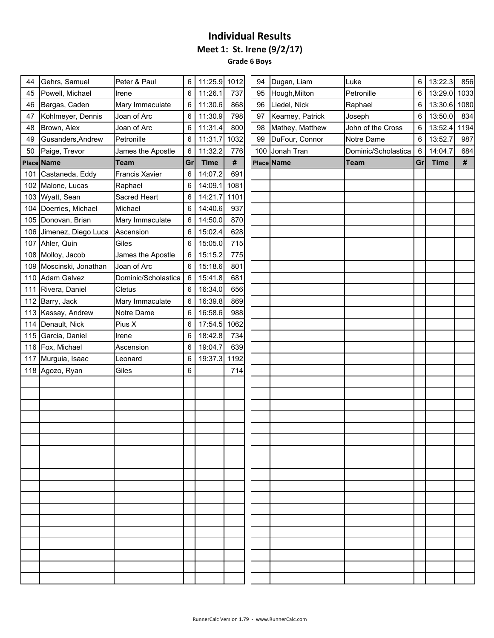**Grade 6 Boys**  $\sim$ 

| 44  | Gehrs, Samuel           | Peter & Paul        | 6  | 11:25.9 1012 |      | 94  | Dugan, Liam      | Luke                | 6  | 13:22.3      | 856  |
|-----|-------------------------|---------------------|----|--------------|------|-----|------------------|---------------------|----|--------------|------|
| 45  | Powell, Michael         | Irene               | 6  | 11:26.1      | 737  | 95  | Hough, Milton    | Petronille          | 6  | 13:29.0      | 1033 |
| 46  | Bargas, Caden           | Mary Immaculate     | 6  | 11:30.6      | 868  | 96  | Liedel, Nick     | Raphael             | 6  | 13:30.6 1080 |      |
| 47  | Kohlmeyer, Dennis       | Joan of Arc         | 6  | 11:30.9      | 798  | 97  | Kearney, Patrick | Joseph              | 6  | 13:50.0      | 834  |
| 48  | Brown, Alex             | Joan of Arc         | 6  | 11:31.4      | 800  | 98  | Mathey, Matthew  | John of the Cross   | 6  | 13:52.4      | 1194 |
| 49  | Gusanders, Andrew       | Petronille          | 6  | 11:31.7      | 1032 | 99  | DuFour, Connor   | Notre Dame          | 6  | 13:52.7      | 987  |
| 50  | Paige, Trevor           | James the Apostle   | 6  | 11:32.2      | 776  | 100 | Jonah Tran       | Dominic/Scholastica | 6  | 14:04.7      | 684  |
|     | Place Name              | <b>Team</b>         | Gr | <b>Time</b>  | #    |     | Place Name       | <b>Team</b>         | Gr | <b>Time</b>  | #    |
|     | 101 Castaneda, Eddy     | Francis Xavier      | 6  | 14:07.2      | 691  |     |                  |                     |    |              |      |
|     | 102 Malone, Lucas       | Raphael             | 6  | 14:09.1      | 1081 |     |                  |                     |    |              |      |
|     | 103 Wyatt, Sean         | Sacred Heart        | 6  | 14:21.7      | 1101 |     |                  |                     |    |              |      |
|     | 104 Doerries, Michael   | Michael             | 6  | 14:40.6      | 937  |     |                  |                     |    |              |      |
|     | 105 Donovan, Brian      | Mary Immaculate     | 6  | 14:50.0      | 870  |     |                  |                     |    |              |      |
|     | 106 Jimenez, Diego Luca | Ascension           | 6  | 15:02.4      | 628  |     |                  |                     |    |              |      |
| 107 | Ahler, Quin             | Giles               | 6  | 15:05.0      | 715  |     |                  |                     |    |              |      |
|     | 108 Molloy, Jacob       | James the Apostle   | 6  | 15:15.2      | 775  |     |                  |                     |    |              |      |
| 109 | Moscinski, Jonathan     | Joan of Arc         | 6  | 15:18.6      | 801  |     |                  |                     |    |              |      |
| 110 | <b>Adam Galvez</b>      | Dominic/Scholastica | 6  | 15:41.8      | 681  |     |                  |                     |    |              |      |
| 111 | Rivera, Daniel          | Cletus              | 6  | 16:34.0      | 656  |     |                  |                     |    |              |      |
| 112 | Barry, Jack             | Mary Immaculate     | 6  | 16:39.8      | 869  |     |                  |                     |    |              |      |
|     | 113 Kassay, Andrew      | Notre Dame          | 6  | 16:58.6      | 988  |     |                  |                     |    |              |      |
|     | 114 Denault, Nick       | Pius X              | 6  | 17:54.5      | 1062 |     |                  |                     |    |              |      |
| 115 | Garcia, Daniel          | Irene               | 6  | 18:42.8      | 734  |     |                  |                     |    |              |      |
|     | 116 Fox, Michael        | Ascension           | 6  | 19:04.7      | 639  |     |                  |                     |    |              |      |
| 117 | Murguia, Isaac          | Leonard             | 6  | 19:37.3      | 1192 |     |                  |                     |    |              |      |
|     | 118 Agozo, Ryan         | Giles               | 6  |              | 714  |     |                  |                     |    |              |      |
|     |                         |                     |    |              |      |     |                  |                     |    |              |      |
|     |                         |                     |    |              |      |     |                  |                     |    |              |      |
|     |                         |                     |    |              |      |     |                  |                     |    |              |      |
|     |                         |                     |    |              |      |     |                  |                     |    |              |      |
|     |                         |                     |    |              |      |     |                  |                     |    |              |      |
|     |                         |                     |    |              |      |     |                  |                     |    |              |      |
|     |                         |                     |    |              |      |     |                  |                     |    |              |      |
|     |                         |                     |    |              |      |     |                  |                     |    |              |      |
|     |                         |                     |    |              |      |     |                  |                     |    |              |      |
|     |                         |                     |    |              |      |     |                  |                     |    |              |      |
|     |                         |                     |    |              |      |     |                  |                     |    |              |      |
|     |                         |                     |    |              |      |     |                  |                     |    |              |      |
|     |                         |                     |    |              |      |     |                  |                     |    |              |      |
|     |                         |                     |    |              |      |     |                  |                     |    |              |      |
|     |                         |                     |    |              |      |     |                  |                     |    |              |      |
|     |                         |                     |    |              |      |     |                  |                     |    |              |      |
|     |                         |                     |    |              |      |     |                  |                     |    |              |      |
|     |                         |                     |    |              |      |     |                  |                     |    |              |      |
|     |                         |                     |    |              |      |     |                  |                     |    |              |      |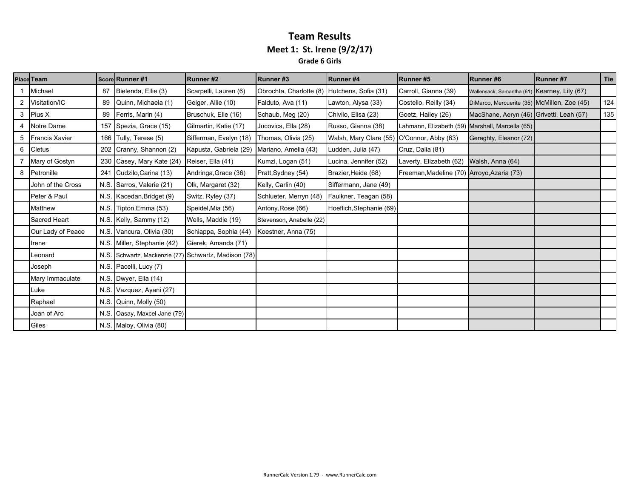#### **Team Results Meet 1: St. Irene (9/2/17) Grade 6 Girls**

|   | <b>Place Team</b>     |      | Score Runner #1                                      | Runner#2               | Runner#3                 | Runner#4                                   | Runner#5                                        | Runner#6                                     | Runner#7 | <b>Tie</b> |
|---|-----------------------|------|------------------------------------------------------|------------------------|--------------------------|--------------------------------------------|-------------------------------------------------|----------------------------------------------|----------|------------|
|   | Michael               | 87   | Bielenda, Ellie (3)                                  | Scarpelli, Lauren (6)  | Obrochta, Charlotte (8)  | Hutchens, Sofia (31)                       | Carroll, Gianna (39)                            | Wallensack, Samantha (61) Kearney, Lily (67) |          |            |
| 2 | Visitation/IC         | 89   | Quinn, Michaela (1)                                  | Geiger, Allie (10)     | Falduto, Ava (11)        | Lawton, Alysa (33)                         | Costello, Reilly (34)                           | DiMarco, Mercuerite (35) McMillen, Zoe (45)  |          | 124        |
| 3 | Pius X                | 89   | Ferris, Marin (4)                                    | Bruschuk, Elle (16)    | Schaub, Meg (20)         | Chivilo, Elisa (23)                        | Goetz, Hailey (26)                              | MacShane, Aeryn (46) Grivetti, Leah (57)     |          | 135        |
|   | Notre Dame            | 157  | Spezia, Grace (15)                                   | Gilmartin, Katie (17)  | Jucovics, Ella (28)      | Russo, Gianna (38)                         | Lahmann, Elizabeth (59) Marshall, Marcella (65) |                                              |          |            |
| 5 | <b>Francis Xavier</b> |      | 166 Tully, Terese (5)                                | Sifferman, Evelyn (18) | Thomas, Olivia (25)      | Walsh, Mary Clare (55) O'Connor, Abby (63) |                                                 | Geraghty, Eleanor (72)                       |          |            |
| 6 | <b>Cletus</b>         | 202  | Cranny, Shannon (2)                                  | Kapusta, Gabriela (29) | Mariano, Amelia (43)     | Ludden, Julia (47)                         | Cruz, Dalia (81)                                |                                              |          |            |
|   | Mary of Gostyn        |      | 230 Casey, Mary Kate (24)                            | Reiser, Ella (41)      | Kumzi, Logan (51)        | Lucina, Jennifer (52)                      | Laverty, Elizabeth (62)                         | Walsh, Anna (64)                             |          |            |
| 8 | Petronille            | 241  | Cudzilo, Carina (13)                                 | Andringa, Grace (36)   | Pratt, Sydney (54)       | Brazier, Heide (68)                        | Freeman, Madeline (70) Arroyo, Azaria (73)      |                                              |          |            |
|   | John of the Cross     |      | N.S. Sarros, Valerie (21)                            | Olk, Margaret (32)     | Kelly, Carlin (40)       | Siffermann, Jane (49)                      |                                                 |                                              |          |            |
|   | Peter & Paul          |      | N.S. Kacedan, Bridget (9)                            | Switz, Ryley (37)      | Schlueter, Merryn (48)   | Faulkner, Teagan (58)                      |                                                 |                                              |          |            |
|   | Matthew               | N.S. | Tipton, Emma (53)                                    | Speidel, Mia (56)      | Antony, Rose (66)        | Hoeflich, Stephanie (69)                   |                                                 |                                              |          |            |
|   | Sacred Heart          |      | N.S. Kelly, Sammy (12)                               | Wells, Maddie (19)     | Stevenson, Anabelle (22) |                                            |                                                 |                                              |          |            |
|   | Our Lady of Peace     |      | N.S. Vancura, Olivia (30)                            | Schiappa, Sophia (44)  | Koestner, Anna (75)      |                                            |                                                 |                                              |          |            |
|   | Irene                 |      | N.S. Miller, Stephanie (42)                          | Gierek, Amanda (71)    |                          |                                            |                                                 |                                              |          |            |
|   | Leonard               |      | N.S. Schwartz, Mackenzie (77) Schwartz, Madison (78) |                        |                          |                                            |                                                 |                                              |          |            |
|   | Joseph                |      | N.S. Pacelli, Lucy (7)                               |                        |                          |                                            |                                                 |                                              |          |            |
|   | Mary Immaculate       |      | N.S. Dwyer, Ella (14)                                |                        |                          |                                            |                                                 |                                              |          |            |
|   | Luke                  |      | N.S. Vazquez, Ayani (27)                             |                        |                          |                                            |                                                 |                                              |          |            |
|   | Raphael               | N.S. | Quinn, Molly (50)                                    |                        |                          |                                            |                                                 |                                              |          |            |
|   | Joan of Arc           |      | N.S. Oasay, Maxcel Jane (79)                         |                        |                          |                                            |                                                 |                                              |          |            |
|   | Giles                 |      | N.S. Maloy, Olivia (80)                              |                        |                          |                                            |                                                 |                                              |          |            |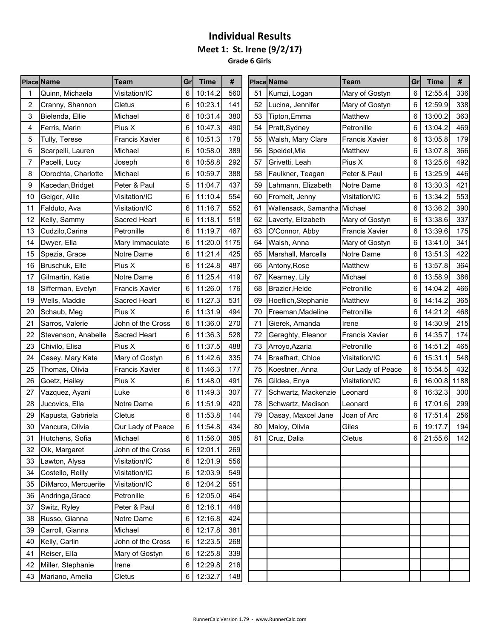**Grade 6 Girls** . e

|    | <b>Place Name</b>   | Team                  | Gr | <b>Time</b> | #    |    | <b>Place Name</b>            | <b>Team</b>           | Gr | <b>Time</b> | #    |
|----|---------------------|-----------------------|----|-------------|------|----|------------------------------|-----------------------|----|-------------|------|
|    | Quinn, Michaela     | Visitation/IC         | 6  | 10:14.2     | 560  | 51 | Kumzi, Logan                 | Mary of Gostyn        | 6  | 12:55.4     | 336  |
| 2  | Cranny, Shannon     | Cletus                | 6  | 10:23.1     | 141  | 52 | Lucina, Jennifer             | Mary of Gostyn        | 6  | 12:59.9     | 338  |
| 3  | Bielenda, Ellie     | Michael               | 6  | 10:31.4     | 380  | 53 | Tipton,Emma                  | Matthew               | 6  | 13:00.2     | 363  |
| 4  | Ferris, Marin       | Pius X                | 6  | 10:47.3     | 490  | 54 | Pratt, Sydney                | Petronille            | 6  | 13:04.2     | 469  |
| 5  | Tully, Terese       | <b>Francis Xavier</b> | 6  | 10:51.3     | 178  | 55 | Walsh, Mary Clare            | <b>Francis Xavier</b> | 6  | 13:05.8     | 179  |
| 6  | Scarpelli, Lauren   | Michael               | 6  | 10:58.0     | 389  | 56 | Speidel, Mia                 | Matthew               | 6  | 13:07.8     | 366  |
| 7  | Pacelli, Lucy       | Joseph                | 6  | 10:58.8     | 292  | 57 | Grivetti, Leah               | Pius X                | 6  | 13:25.6     | 492  |
| 8  | Obrochta, Charlotte | Michael               | 6  | 10:59.7     | 388  | 58 | Faulkner, Teagan             | Peter & Paul          | 6  | 13:25.9     | 446  |
| 9  | Kacedan, Bridget    | Peter & Paul          |    | 11:04.7     | 437  | 59 | Lahmann, Elizabeth           | Notre Dame            | 6  | 13:30.3     | 421  |
| 10 | Geiger, Allie       | Visitation/IC         | 6  | 11:10.4     | 554  | 60 | Fromelt, Jenny               | Visitation/IC         | 6  | 13:34.2     | 553  |
| 11 | Falduto, Ava        | Visitation/IC         | 6  | 11:16.7     | 552  | 61 | Wallensack, Samantha Michael |                       | 6  | 13:36.2     | 390  |
| 12 | Kelly, Sammy        | Sacred Heart          | 6  | 11:18.1     | 518  | 62 | Laverty, Elizabeth           | Mary of Gostyn        | 6  | 13:38.6     | 337  |
| 13 | Cudzilo, Carina     | Petronille            | 6  | 11:19.7     | 467  | 63 | O'Connor, Abby               | <b>Francis Xavier</b> | 6  | 13:39.6     | 175  |
| 14 | Dwyer, Ella         | Mary Immaculate       | 6  | 11:20.0     | 1175 | 64 | Walsh, Anna                  | Mary of Gostyn        | 6  | 13:41.0     | 341  |
| 15 | Spezia, Grace       | Notre Dame            | 6  | 11:21.4     | 425  | 65 | Marshall, Marcella           | Notre Dame            | 6  | 13:51.3     | 422  |
| 16 | Bruschuk, Elle      | Pius X                | 6  | 11:24.8     | 487  | 66 | Antony, Rose                 | Matthew               | 6  | 13:57.8     | 364  |
| 17 | Gilmartin, Katie    | Notre Dame            |    | 11:25.4     | 419  | 67 | Kearney, Lily                | Michael               | 6  | 13:58.9     | 386  |
| 18 | Sifferman, Evelyn   | <b>Francis Xavier</b> | 6  | 11:26.0     | 176  | 68 | Brazier, Heide               | Petronille            | 6  | 14:04.2     | 466  |
| 19 | Wells, Maddie       | Sacred Heart          | 6  | 11:27.3     | 531  | 69 | Hoeflich, Stephanie          | Matthew               | 6  | 14:14.2     | 365  |
| 20 | Schaub, Meg         | Pius X                | 6  | 11:31.9     | 494  | 70 | Freeman, Madeline            | Petronille            | 6  | 14:21.2     | 468  |
| 21 | Sarros, Valerie     | John of the Cross     | 6  | 11:36.0     | 270  | 71 | Gierek, Amanda               | Irene                 | 6  | 14:30.9     | 215  |
| 22 | Stevenson, Anabelle | Sacred Heart          | 6  | 11:36.3     | 528  | 72 | Geraghty, Eleanor            | <b>Francis Xavier</b> | 6  | 14:35.7     | 174  |
| 23 | Chivilo, Elisa      | Pius X                | 6  | 11:37.5     | 488  | 73 | Arroyo, Azaria               | Petronille            | 6  | 14:51.2     | 465  |
| 24 | Casey, Mary Kate    | Mary of Gostyn        | 6  | 11:42.6     | 335  | 74 | Braafhart, Chloe             | Visitation/IC         | 6  | 15:31.1     | 548  |
| 25 | Thomas, Olivia      | <b>Francis Xavier</b> | 6  | 11:46.3     | 177  | 75 | Koestner, Anna               | Our Lady of Peace     | 6  | 15:54.5     | 432  |
| 26 | Goetz, Hailey       | Pius X                | 6  | 11:48.0     | 491  | 76 | Gildea, Enya                 | Visitation/IC         | 6  | 16:00.8     | 1188 |
| 27 | Vazquez, Ayani      | Luke                  | 6  | 11:49.3     | 307  | 77 | Schwartz, Mackenzie          | Leonard               | 6  | 16:32.3     | 300  |
| 28 | Jucovics, Ella      | Notre Dame            | 6  | 11:51.9     | 420  | 78 | Schwartz, Madison            | Leonard               | 6  | 17:01.6     | 299  |
| 29 | Kapusta, Gabriela   | Cletus                | 6  | 11:53.8     | 144  | 79 | Oasay, Maxcel Jane           | Joan of Arc           | 6  | 17:51.4     | 256  |
| 30 | Vancura, Olivia     | Our Lady of Peace     | 6  | 11:54.8     | 434  | 80 | Maloy, Olivia                | Giles                 | 6  | 19:17.7     | 194  |
|    | 31 Hutchens, Sofia  | Michael               | 6  | 11:56.0     | 385  | 81 | Cruz, Dalia                  | Cletus                | 6  | 21:55.6     | 142  |
| 32 | Olk, Margaret       | John of the Cross     | 6  | 12:01.1     | 269  |    |                              |                       |    |             |      |
| 33 | Lawton, Alysa       | Visitation/IC         | 6  | 12:01.9     | 556  |    |                              |                       |    |             |      |
| 34 | Costello, Reilly    | Visitation/IC         |    | 12:03.9     | 549  |    |                              |                       |    |             |      |
| 35 | DiMarco, Mercuerite | Visitation/IC         | 6  | 12:04.2     | 551  |    |                              |                       |    |             |      |
| 36 | Andringa, Grace     | Petronille            | 6  | 12:05.0     | 464  |    |                              |                       |    |             |      |
| 37 | Switz, Ryley        | Peter & Paul          | 6  | 12:16.1     | 448  |    |                              |                       |    |             |      |
| 38 | Russo, Gianna       | Notre Dame            |    | 12:16.8     | 424  |    |                              |                       |    |             |      |
| 39 | Carroll, Gianna     | Michael               | 6  | 12:17.8     | 381  |    |                              |                       |    |             |      |
| 40 | Kelly, Carlin       | John of the Cross     | 6  | 12:23.5     | 268  |    |                              |                       |    |             |      |
| 41 | Reiser, Ella        | Mary of Gostyn        | 6  | 12:25.8     | 339  |    |                              |                       |    |             |      |
| 42 | Miller, Stephanie   | Irene                 | 6  | 12:29.8     | 216  |    |                              |                       |    |             |      |
|    | 43 Mariano, Amelia  | Cletus                |    | 6 12:32.7   | 148  |    |                              |                       |    |             |      |
|    |                     |                       |    |             |      |    |                              |                       |    |             |      |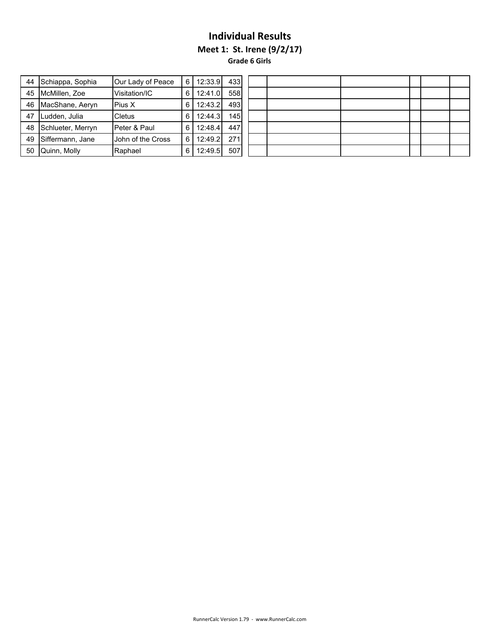**Meet 1: St. Irene (9/2/17)**

**Grade 6 Girls**

| 44 | Schiappa, Sophia  | Our Lady of Peace | 6'  | 12:33.9 | 433 |  |  |  |  |
|----|-------------------|-------------------|-----|---------|-----|--|--|--|--|
| 45 | McMillen, Zoe     | Visitation/IC     | 6   | 12:41.0 | 558 |  |  |  |  |
| 46 | MacShane, Aeryn   | Pius X            | 6   | 12:43.2 | 493 |  |  |  |  |
| 47 | Ludden, Julia     | Cletus            | 6   | 12:44.3 | 145 |  |  |  |  |
| 48 | Schlueter, Merryn | Peter & Paul      | 6   | 12:48.4 | 447 |  |  |  |  |
| 49 | Siffermann, Jane  | John of the Cross | 6   | 12:49.2 | 271 |  |  |  |  |
| 50 | Quinn, Molly      | Raphael           | 6 I | 12:49.5 | 507 |  |  |  |  |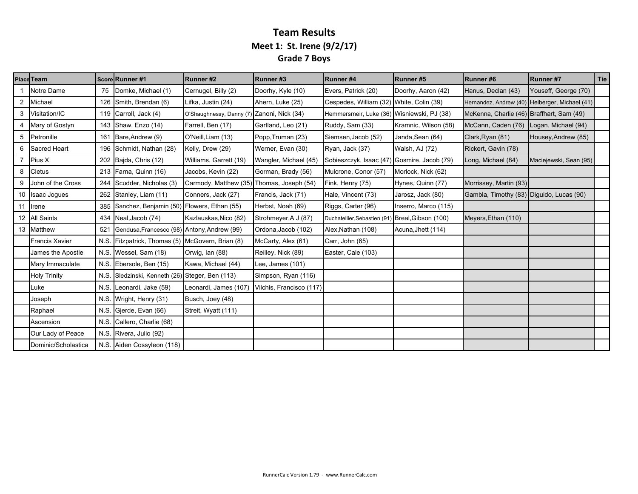### **Team Results Meet 1: St. Irene (9/2/17) Grade 7 Boys**

|   | <b>Place Team</b>     |      | Score Runner #1                                 | Runner#2                                   | Runner#3                 | Runner#4                                   | Runner#5             | Runner#6                                       | Runner #7              | Tie |
|---|-----------------------|------|-------------------------------------------------|--------------------------------------------|--------------------------|--------------------------------------------|----------------------|------------------------------------------------|------------------------|-----|
|   | Notre Dame            | 75   | Domke, Michael (1)                              | Cernugel, Billy (2)                        | Doorhy, Kyle (10)        | Evers, Patrick (20)                        | Doorhy, Aaron (42)   | Hanus, Declan (43)                             | Youseff, George (70)   |     |
| 2 | Michael               | 126  | Smith, Brendan (6)                              | Lifka, Justin (24)                         | Ahern, Luke (25)         | Cespedes, William (32) White, Colin (39)   |                      | Hernandez, Andrew (40) Heiberger, Michael (41) |                        |     |
| 3 | Visitation/IC         |      | 119 Carroll, Jack (4)                           | O'Shaughnessy, Danny (7) Zanoni, Nick (34) |                          | Hemmersmeir, Luke (36) Wisniewski, PJ (38) |                      | McKenna, Charlie (46) Braffhart, Sam (49)      |                        |     |
|   | Mary of Gostyn        |      | 143 Shaw, Enzo (14)                             | Farrell, Ben (17)                          | Gartland, Leo (21)       | Ruddy, Sam (33)                            | Kramnic, Wilson (58) | McCann, Caden (76)                             | Logan, Michael (94)    |     |
| 5 | Petronille            |      | 161 Bare, Andrew (9)                            | O'Neill, Liam (13)                         | Popp, Truman (23)        | Siemsen, Jacob (52)                        | Janda, Sean (64)     | Clark, Ryan (81)                               | Housey, Andrew (85)    |     |
| 6 | Sacred Heart          | 196  | Schmidt, Nathan (28)                            | Kelly, Drew (29)                           | Werner, Evan (30)        | Ryan, Jack (37)                            | Walsh, AJ (72)       | Rickert, Gavin (78)                            |                        |     |
|   | Pius X                |      | 202 Bajda, Chris (12)                           | Williams, Garrett (19)                     | Wangler, Michael (45)    | Sobieszczyk, Isaac (47)                    | Gosmire, Jacob (79)  | Long, Michael (84)                             | Maciejewski, Sean (95) |     |
| 8 | Cletus                | 213  | Farna, Quinn (16)                               | Jacobs, Kevin (22)                         | Gorman, Brady (56)       | Mulcrone, Conor (57)                       | Morlock, Nick (62)   |                                                |                        |     |
| 9 | John of the Cross     | 244  | Scudder, Nicholas (3)                           | Carmody, Matthew (35)                      | Thomas, Joseph (54)      | Fink, Henry (75)                           | Hynes, Quinn (77)    | Morrissey, Martin (93)                         |                        |     |
|   | 10 Isaac Jogues       |      | 262 Stanley, Liam (11)                          | Conners, Jack (27)                         | Francis, Jack (71)       | Hale, Vincent (73)                         | Jarosz, Jack (80)    | Gambla, Timothy (83) Diguido, Lucas (90)       |                        |     |
|   | 11 Irene              | 385  | Sanchez, Benjamin (50) Flowers, Ethan (55)      |                                            | Herbst, Noah (69)        | Riggs, Carter (96)                         | Inserro, Marco (115) |                                                |                        |     |
|   | 12 All Saints         |      | 434 Neal, Jacob (74)                            | Kazlauskas, Nico (82)                      | Strohmeyer, A J (87)     | Duchatellier, Sebastien (91)               | Breal, Gibson (100)  | Meyers, Ethan (110)                            |                        |     |
|   | 13 Matthew            | 521  | Gendusa, Francesco (98) Antony, Andrew (99)     |                                            | Ordona, Jacob (102)      | Alex, Nathan (108)                         | Acuna, Jhett (114)   |                                                |                        |     |
|   | <b>Francis Xavier</b> | N.S. | Fitzpatrick, Thomas (5) McGovern, Brian (8)     |                                            | McCarty, Alex (61)       | Carr, John (65)                            |                      |                                                |                        |     |
|   | James the Apostle     |      | N.S. Wessel, Sam (18)                           | Orwig, Ian (88)                            | Reilley, Nick (89)       | Easter, Cale (103)                         |                      |                                                |                        |     |
|   | Mary Immaculate       |      | N.S. Ebersole, Ben (15)                         | Kawa, Michael (44)                         | Lee, James (101)         |                                            |                      |                                                |                        |     |
|   | <b>Holy Trinity</b>   |      | N.S. Sledzinski, Kenneth (26) Steger, Ben (113) |                                            | Simpson, Ryan (116)      |                                            |                      |                                                |                        |     |
|   | Luke                  |      | N.S. Leonardi, Jake (59)                        | Leonardi, James (107)                      | Vilchis, Francisco (117) |                                            |                      |                                                |                        |     |
|   | Joseph                |      | N.S. Wright, Henry (31)                         | Busch, Joey (48)                           |                          |                                            |                      |                                                |                        |     |
|   | Raphael               |      | N.S. Gjerde, Evan (66)                          | Streit, Wyatt (111)                        |                          |                                            |                      |                                                |                        |     |
|   | Ascension             | N.S. | Callero, Charlie (68)                           |                                            |                          |                                            |                      |                                                |                        |     |
|   | Our Lady of Peace     |      | N.S. Rivera, Julio (92)                         |                                            |                          |                                            |                      |                                                |                        |     |
|   | Dominic/Scholastica   |      | N.S. Aiden Cossyleon (118)                      |                                            |                          |                                            |                      |                                                |                        |     |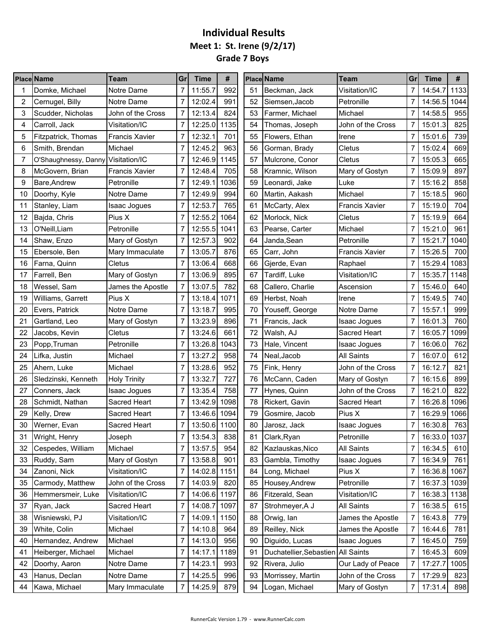## **Individual Results Meet 1: St. Irene (9/2/17) Grade 7 Boys**

|    | <b>Place Name</b>                  | <b>Team</b>           | Gr             | <b>Time</b>  | #    |    | Place Name                         | <b>Team</b>           | Gr             | <b>Time</b>  | #    |
|----|------------------------------------|-----------------------|----------------|--------------|------|----|------------------------------------|-----------------------|----------------|--------------|------|
|    | Domke, Michael                     | Notre Dame            | 7              | 11:55.7      | 992  | 51 | Beckman, Jack                      | Visitation/IC         | 7              | 14:54.7      | 1133 |
| 2  | Cernugel, Billy                    | Notre Dame            | $\overline{7}$ | 12:02.4      | 991  | 52 | Siemsen, Jacob                     | Petronille            | 7              | 14:56.5      | 1044 |
| 3  | Scudder, Nicholas                  | John of the Cross     |                | 12:13.4      | 824  | 53 | Farmer, Michael                    | Michael               | 7              | 14:58.5      | 955  |
| 4  | Carroll, Jack                      | Visitation/IC         | 7              | 12:25.0      | 1135 | 54 | Thomas, Joseph                     | John of the Cross     | 7              | 15:01.3      | 825  |
| 5  | Fitzpatrick, Thomas                | <b>Francis Xavier</b> |                | 12:32.1      | 701  | 55 | Flowers, Ethan                     | Irene                 | 7              | 15:01.6      | 739  |
| 6  | Smith, Brendan                     | Michael               |                | 12:45.2      | 963  | 56 | Gorman, Brady                      | Cletus                |                | 15:02.4      | 669  |
| 7  | O'Shaughnessy, Danny Visitation/IC |                       |                | 12:46.9      | 1145 | 57 | Mulcrone, Conor                    | Cletus                | 7              | 15:05.3      | 665  |
| 8  | McGovern, Brian                    | <b>Francis Xavier</b> |                | 12:48.4      | 705  | 58 | Kramnic, Wilson                    | Mary of Gostyn        |                | 15:09.9      | 897  |
| 9  | Bare, Andrew                       | Petronille            | 7              | 12:49.1      | 1036 | 59 | Leonardi, Jake                     | Luke                  | 7              | 15:16.2      | 858  |
| 10 | Doorhy, Kyle                       | Notre Dame            | 7              | 12:49.9      | 994  | 60 | Martin, Aakash                     | Michael               | 7              | 15:18.5      | 960  |
| 11 | Stanley, Liam                      | Isaac Jogues          |                | 12:53.7      | 765  | 61 | McCarty, Alex                      | Francis Xavier        | 7              | 15:19.0      | 704  |
| 12 | Bajda, Chris                       | Pius X                | 7              | 12:55.2      | 1064 | 62 | Morlock, Nick                      | Cletus                | 7              | 15:19.9      | 664  |
| 13 | O'Neill, Liam                      | Petronille            |                | 12:55.5      | 1041 | 63 | Pearse, Carter                     | Michael               | 7              | 15:21.0      | 961  |
| 14 | Shaw, Enzo                         | Mary of Gostyn        |                | 12:57.3      | 902  | 64 | Janda,Sean                         | Petronille            | 7              | 15:21.7      | 1040 |
| 15 | Ebersole, Ben                      | Mary Immaculate       |                | 13:05.7      | 876  | 65 | Carr, John                         | <b>Francis Xavier</b> | 7              | 15:26.5      | 700  |
| 16 | Farna, Quinn                       | Cletus                |                | 13:06.4      | 668  | 66 | Gierde, Evan                       | Raphael               |                | 15:29.4      | 1083 |
| 17 | Farrell, Ben                       | Mary of Gostyn        | 7              | 13:06.9      | 895  | 67 | Tardiff, Luke                      | Visitation/IC         |                | 15:35.7      | 1148 |
| 18 | Wessel, Sam                        | James the Apostle     |                | 13:07.5      | 782  | 68 | Callero, Charlie                   | Ascension             |                | 15:46.0      | 640  |
| 19 | Williams, Garrett                  | Pius X                |                | 13:18.4      | 1071 | 69 | Herbst, Noah                       | Irene                 | 7              | 15:49.5      | 740  |
| 20 | Evers, Patrick                     | Notre Dame            | $\overline{7}$ | 13:18.7      | 995  | 70 | Youseff, George                    | Notre Dame            | 7              | 15:57.1      | 999  |
| 21 | Gartland, Leo                      | Mary of Gostyn        |                | 13:23.9      | 896  | 71 | Francis, Jack                      | <b>Isaac Jogues</b>   | 7              | 16:01.3      | 760  |
| 22 | Jacobs, Kevin                      | Cletus                |                | 13:24.6      | 661  | 72 | Walsh, AJ                          | Sacred Heart          | 7              | 16:05.7      | 1099 |
| 23 | Popp, Truman                       | Petronille            |                | 13:26.8      | 1043 | 73 | Hale, Vincent                      | Isaac Jogues          | 7              | 16:06.0      | 762  |
| 24 | Lifka, Justin                      | Michael               |                | 13:27.2      | 958  | 74 | Neal, Jacob                        | <b>All Saints</b>     | 7              | 16:07.0      | 612  |
| 25 | Ahern, Luke                        | Michael               | 7              | 13:28.6      | 952  | 75 | Fink, Henry                        | John of the Cross     | 7              | 16:12.7      | 821  |
| 26 | Sledzinski, Kenneth                | <b>Holy Trinity</b>   |                | 13:32.7      | 727  | 76 | McCann, Caden                      | Mary of Gostyn        | 7              | 16:15.6      | 899  |
| 27 | Conners, Jack                      | Isaac Jogues          | $\overline{7}$ | 13:35.4      | 758  | 77 | Hynes, Quinn                       | John of the Cross     | 7              | 16:21.0      | 822  |
| 28 | Schmidt, Nathan                    | Sacred Heart          | 7              | 13:42.9      | 1098 | 78 | Rickert, Gavin                     | Sacred Heart          | 7              | 16:26.8      | 1096 |
| 29 | Kelly, Drew                        | Sacred Heart          |                | 13:46.6 1094 |      | 79 | Gosmire, Jacob                     | Pius X                | 7              | 16:29.9      | 1066 |
| 30 | Werner, Evan                       | Sacred Heart          | $\overline{7}$ | 13:50.6 1100 |      | 80 | Jarosz, Jack                       | Isaac Jogues          | 7              | 16:30.8      | 763  |
| 31 | Wright, Henry                      | Joseph                | $\overline{ }$ | 13:54.3 838  |      | 81 | Clark, Ryan                        | Petronille            | $\overline{7}$ | 16:33.0 1037 |      |
| 32 | Cespedes, William                  | Michael               | 7              | 13:57.5      | 954  | 82 | Kazlauskas, Nico                   | All Saints            | 7              | 16:34.5      | 610  |
| 33 | Ruddy, Sam                         | Mary of Gostyn        | 7              | 13:58.8      | 901  | 83 | Gambla, Timothy                    | <b>Isaac Jogues</b>   | 7              | 16:34.9      | 761  |
| 34 | Zanoni, Nick                       | Visitation/IC         | 7              | 14:02.8 1151 |      | 84 | Long, Michael                      | Pius X                | 7              | 16:36.8 1067 |      |
| 35 | Carmody, Matthew                   | John of the Cross     | 7              | 14:03.9      | 820  | 85 | Housey, Andrew                     | Petronille            | 7              | 16:37.3      | 1039 |
| 36 | Hemmersmeir, Luke                  | Visitation/IC         | 7              | 14:06.6 1197 |      | 86 | Fitzerald, Sean                    | Visitation/IC         | 7              | 16:38.3 1138 |      |
| 37 | Ryan, Jack                         | Sacred Heart          | 7              | 14:08.7      | 1097 | 87 | Strohmeyer, A J                    | <b>All Saints</b>     | 7              | 16:38.5      | 615  |
| 38 | Wisniewski, PJ                     | Visitation/IC         | 7              | 14:09.1 1150 |      | 88 | Orwig, lan                         | James the Apostle     | 7              | 16:43.8      | 779  |
| 39 | White, Colin                       | Michael               | 7              | 14:10.8      | 964  | 89 | Reilley, Nick                      | James the Apostle     | 7              | 16:44.6      | 781  |
| 40 | Hernandez, Andrew                  | Michael               | 7              | 14:13.0      | 956  | 90 | Diguido, Lucas                     | <b>Isaac Jogues</b>   | 7              | 16:45.0      | 759  |
| 41 | Heiberger, Michael                 | Michael               | 7              | 14:17.1      | 1189 | 91 | Duchatellier, Sebastien All Saints |                       | 7              | 16:45.3      | 609  |
| 42 | Doorhy, Aaron                      | Notre Dame            | 7              | 14:23.1      | 993  | 92 | Rivera, Julio                      | Our Lady of Peace     | 7              | 17:27.7      | 1005 |
| 43 | Hanus, Declan                      | Notre Dame            | 7              | 14:25.5      | 996  | 93 | Morrissey, Martin                  | John of the Cross     | 7              | 17:29.9      | 823  |
| 44 | Kawa, Michael                      | Mary Immaculate       | 7              | 14:25.9      | 879  | 94 | Logan, Michael                     | Mary of Gostyn        | 7              | 17:31.4      | 898  |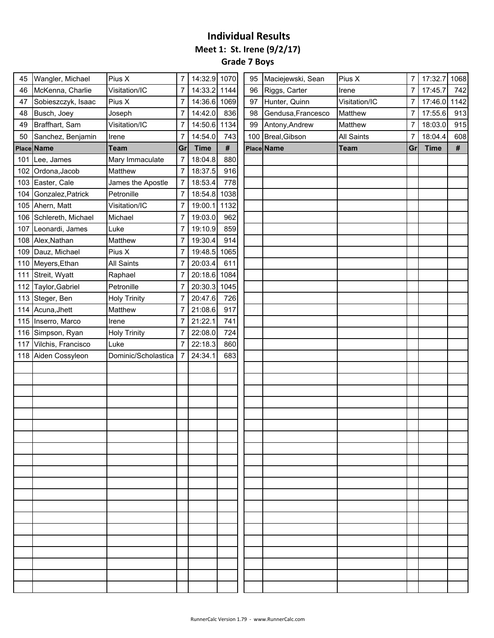## **Individual Results Meet 1: St. Irene (9/2/17) Grade 7 Boys**

| 45  | Wangler, Michael       | Pius X              | 7              | 14:32.9 1070 |      | 95  | Maciejewski, Sean  | Pius X        | 7  | 17:32.7     | 1068 |
|-----|------------------------|---------------------|----------------|--------------|------|-----|--------------------|---------------|----|-------------|------|
| 46  | McKenna, Charlie       | Visitation/IC       | $\overline{7}$ | 14:33.2 1144 |      | 96  | Riggs, Carter      | Irene         | 7  | 17:45.7     | 742  |
| 47  | Sobieszczyk, Isaac     | Pius X              | 7              | 14:36.6      | 1069 | 97  | Hunter, Quinn      | Visitation/IC | 7  | 17:46.0     | 1142 |
| 48  | Busch, Joey            | Joseph              | $\overline{7}$ | 14:42.0      | 836  | 98  | Gendusa, Francesco | Matthew       | 7  | 17:55.6     | 913  |
| 49  | Braffhart, Sam         | Visitation/IC       | 7              | 14:50.6      | 1134 | 99  | Antony, Andrew     | Matthew       | 7  | 18:03.0     | 915  |
| 50  | Sanchez, Benjamin      | Irene               | 7              | 14:54.0      | 743  | 100 | Breal, Gibson      | All Saints    | 7  | 18:04.4     | 608  |
|     | Place Name             | <b>Team</b>         | Gr             | <b>Time</b>  | $\#$ |     | Place Name         | <b>Team</b>   | Gr | <b>Time</b> | $\#$ |
|     | 101 Lee, James         | Mary Immaculate     | $\overline{7}$ | 18:04.8      | 880  |     |                    |               |    |             |      |
| 102 | Ordona, Jacob          | Matthew             | 7              | 18:37.5      | 916  |     |                    |               |    |             |      |
|     | 103 Easter, Cale       | James the Apostle   | $\overline{7}$ | 18:53.4      | 778  |     |                    |               |    |             |      |
|     | 104 Gonzalez, Patrick  | Petronille          | 7              | 18:54.8      | 1038 |     |                    |               |    |             |      |
|     | 105 Ahern, Matt        | Visitation/IC       | $\overline{7}$ | 19:00.1      | 1132 |     |                    |               |    |             |      |
|     | 106 Schlereth, Michael | Michael             | 7              | 19:03.0      | 962  |     |                    |               |    |             |      |
| 107 | Leonardi, James        | Luke                | 7              | 19:10.9      | 859  |     |                    |               |    |             |      |
|     | 108 Alex, Nathan       | Matthew             | 7              | 19:30.4      | 914  |     |                    |               |    |             |      |
|     | 109 Dauz, Michael      | Pius X              | 7              | 19:48.5      | 1065 |     |                    |               |    |             |      |
|     | 110 Meyers, Ethan      | All Saints          | 7              | 20:03.4      | 611  |     |                    |               |    |             |      |
| 111 | Streit, Wyatt          | Raphael             | 7              | 20:18.6      | 1084 |     |                    |               |    |             |      |
| 112 | Taylor, Gabriel        | Petronille          | 7              | 20:30.3      | 1045 |     |                    |               |    |             |      |
|     | 113 Steger, Ben        | <b>Holy Trinity</b> | $\overline{7}$ | 20:47.6      | 726  |     |                    |               |    |             |      |
|     | 114 Acuna, Jhett       | Matthew             | 7              | 21:08.6      | 917  |     |                    |               |    |             |      |
|     | 115 Inserro, Marco     | Irene               | 7              | 21:22.1      | 741  |     |                    |               |    |             |      |
|     | 116 Simpson, Ryan      | <b>Holy Trinity</b> | 7              | 22:08.0      | 724  |     |                    |               |    |             |      |
| 117 | Vilchis, Francisco     | Luke                | 7              | 22:18.3      | 860  |     |                    |               |    |             |      |
|     | 118 Aiden Cossyleon    | Dominic/Scholastica | -7             | 24:34.1      | 683  |     |                    |               |    |             |      |
|     |                        |                     |                |              |      |     |                    |               |    |             |      |
|     |                        |                     |                |              |      |     |                    |               |    |             |      |
|     |                        |                     |                |              |      |     |                    |               |    |             |      |
|     |                        |                     |                |              |      |     |                    |               |    |             |      |
|     |                        |                     |                |              |      |     |                    |               |    |             |      |
|     |                        |                     |                |              |      |     |                    |               |    |             |      |
|     |                        |                     |                |              |      |     |                    |               |    |             |      |
|     |                        |                     |                |              |      |     |                    |               |    |             |      |
|     |                        |                     |                |              |      |     |                    |               |    |             |      |
|     |                        |                     |                |              |      |     |                    |               |    |             |      |
|     |                        |                     |                |              |      |     |                    |               |    |             |      |
|     |                        |                     |                |              |      |     |                    |               |    |             |      |
|     |                        |                     |                |              |      |     |                    |               |    |             |      |
|     |                        |                     |                |              |      |     |                    |               |    |             |      |
|     |                        |                     |                |              |      |     |                    |               |    |             |      |
|     |                        |                     |                |              |      |     |                    |               |    |             |      |
|     |                        |                     |                |              |      |     |                    |               |    |             |      |
|     |                        |                     |                |              |      |     |                    |               |    |             |      |
|     |                        |                     |                |              |      |     |                    |               |    |             |      |
|     |                        |                     |                |              |      |     |                    |               |    |             |      |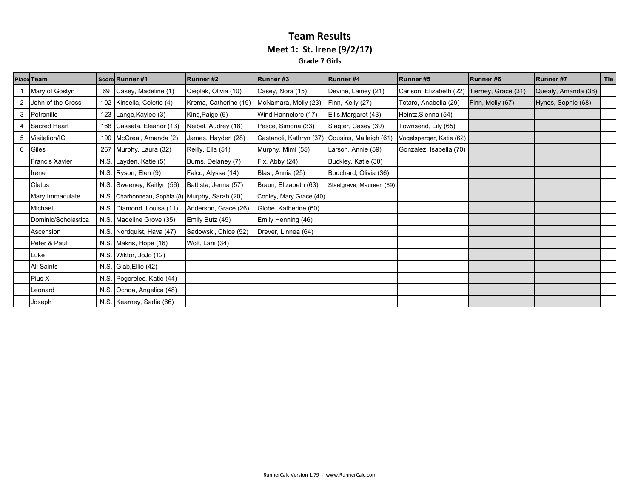#### **Team Results Meet 1: St. Irene (9/2/17) Grade 7 Girls**

|   | <b>Place Team</b>     |      | Score Runner #1                            | Runner#2              | Runner#3                                       | Runner#4                 | Runner#5                 | Runner#6            | <b>Runner#7</b>     | Tie |
|---|-----------------------|------|--------------------------------------------|-----------------------|------------------------------------------------|--------------------------|--------------------------|---------------------|---------------------|-----|
|   | Mary of Gostyn        | 69   | Casey, Madeline (1)                        | Cieplak, Olivia (10)  | Casey, Nora (15)                               | Devine, Lainey (21)      | Carlson, Elizabeth (22)  | Tierney, Grace (31) | Quealy, Amanda (38) |     |
|   | John of the Cross     |      | 102 Kinsella, Colette (4)                  | Krema, Catherine (19) | McNamara, Molly (23)                           | Finn, Kelly (27)         | Totaro, Anabella (29)    | Finn, Molly (67)    | Hynes, Sophie (68)  |     |
| 3 | Petronille            |      | 123 Lange, Kaylee (3)                      | King, Paige (6)       | Wind, Hannelore (17)                           | Ellis, Margaret (43)     | Heintz, Sienna (54)      |                     |                     |     |
|   | <b>Sacred Heart</b>   |      | 168 Cassata, Eleanor (13)                  | Neibel, Audrey (18)   | Pesce, Simona (33)                             | Slagter, Casey (39)      | Townsend, Lily (65)      |                     |                     |     |
| 5 | Visitation/IC         |      | 190 McGreal, Amanda (2)                    | James, Hayden (28)    | Castanoli, Kathryn (37) Cousins, Maileigh (61) |                          | Vogelsperger, Katie (62) |                     |                     |     |
| 6 | Giles                 |      | 267 Murphy, Laura (32)                     | Reilly, Ella (51)     | Murphy, Mimi (55)                              | Larson, Annie (59)       | Gonzalez, Isabella (70)  |                     |                     |     |
|   | <b>Francis Xavier</b> |      | N.S. Layden, Katie (5)                     | Burns, Delaney (7)    | Fix, Abby (24)                                 | Buckley, Katie (30)      |                          |                     |                     |     |
|   | Irene                 |      | N.S. Ryson, Elen (9)                       | Falco, Alyssa (14)    | Blasi, Annia (25)                              | Bouchard, Olivia (36)    |                          |                     |                     |     |
|   | <b>Cletus</b>         |      | N.S. Sweeney, Kaitlyn (56)                 | Battista, Jenna (57)  | Braun, Elizabeth (63)                          | Staelgrave, Maureen (69) |                          |                     |                     |     |
|   | Mary Immaculate       | N.S. | Charbonneau, Sophia (8) Murphy, Sarah (20) |                       | Conley, Mary Grace (40)                        |                          |                          |                     |                     |     |
|   | Michael               |      | N.S. Diamond, Louisa (11)                  | Anderson, Grace (26)  | Globe, Katherine (60)                          |                          |                          |                     |                     |     |
|   | Dominic/Scholastica   |      | N.S. Madeline Grove (35)                   | Emily Butz (45)       | Emily Henning (46)                             |                          |                          |                     |                     |     |
|   | Ascension             |      | N.S. Nordquist, Hava (47)                  | Sadowski, Chloe (52)  | Drever, Linnea (64)                            |                          |                          |                     |                     |     |
|   | Peter & Paul          |      | N.S. Makris, Hope (16)                     | Wolf, Lani (34)       |                                                |                          |                          |                     |                     |     |
|   | Luke                  |      | N.S. Wiktor, JoJo (12)                     |                       |                                                |                          |                          |                     |                     |     |
|   | <b>All Saints</b>     | N.S. | Glab, Ellie (42)                           |                       |                                                |                          |                          |                     |                     |     |
|   | Pius X                |      | N.S. Pogorelec, Katie (44)                 |                       |                                                |                          |                          |                     |                     |     |
|   | Leonard               | N.S. | Ochoa, Angelica (48)                       |                       |                                                |                          |                          |                     |                     |     |
|   | Joseph                |      | N.S. Kearney, Sadie (66)                   |                       |                                                |                          |                          |                     |                     |     |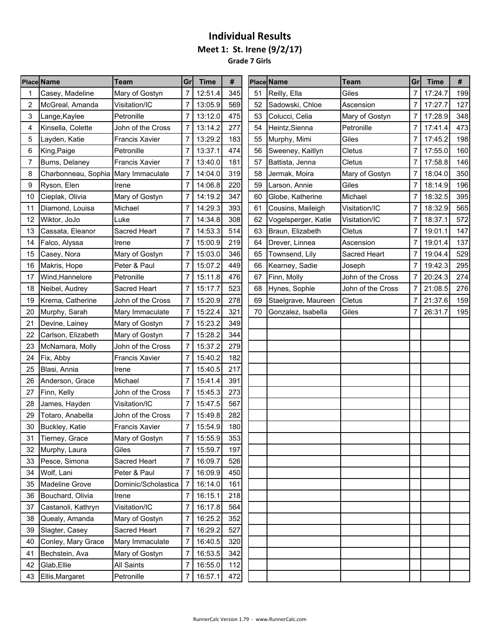**Grade 7 Girls**

|    | <b>Place Name</b>                   | Team                  | Grl            | <b>Time</b> | #   |    | <b>Place Name</b>   | <b>Team</b>       | Grl            | <b>Time</b> | #   |
|----|-------------------------------------|-----------------------|----------------|-------------|-----|----|---------------------|-------------------|----------------|-------------|-----|
|    | Casey, Madeline                     | Mary of Gostyn        |                | 12:51.4     | 345 | 51 | Reilly, Ella        | Giles             | 7              | 17:24.7     | 199 |
| 2  | McGreal, Amanda                     | Visitation/IC         | 7              | 13:05.9     | 569 | 52 | Sadowski, Chloe     | Ascension         | 7              | 17:27.7     | 127 |
| 3  | Lange, Kaylee                       | Petronille            | 7              | 13:12.0     | 475 | 53 | Colucci, Celia      | Mary of Gostyn    | 7              | 17:28.9     | 348 |
| 4  | Kinsella, Colette                   | John of the Cross     | 7              | 13:14.2     | 277 | 54 | Heintz, Sienna      | Petronille        | 7              | 17:41.4     | 473 |
| 5  | Layden, Katie                       | <b>Francis Xavier</b> | 7              | 13:29.2     | 183 | 55 | Murphy, Mimi        | Giles             | 7              | 17:45.2     | 198 |
| 6  | King, Paige                         | Petronille            | 7              | 13:37.1     | 474 | 56 | Sweeney, Kaitlyn    | Cletus            | 7              | 17:55.0     | 160 |
| 7  | Burns, Delaney                      | <b>Francis Xavier</b> | 7              | 13:40.0     | 181 | 57 | Battista, Jenna     | Cletus            | 7              | 17:58.8     | 146 |
| 8  | Charbonneau, Sophia Mary Immaculate |                       | 7              | 14:04.0     | 319 | 58 | Jermak, Moira       | Mary of Gostyn    | 7              | 18:04.0     | 350 |
| 9  | Ryson, Elen                         | Irene                 | 7              | 14:06.8     | 220 | 59 | Larson, Annie       | Giles             | 7              | 18:14.9     | 196 |
| 10 | Cieplak, Olivia                     | Mary of Gostyn        | 7              | 14:19.2     | 347 | 60 | Globe, Katherine    | Michael           | 7              | 18:32.5     | 395 |
| 11 | Diamond, Louisa                     | Michael               | 7              | 14:29.3     | 393 | 61 | Cousins, Maileigh   | Visitation/IC     | 7              | 18:32.9     | 565 |
| 12 | Wiktor, JoJo                        | ∟uke                  | 7              | 14:34.8     | 308 | 62 | Vogelsperger, Katie | Visitation/IC     | 7              | 18:37.1     | 572 |
| 13 | Cassata, Eleanor                    | Sacred Heart          | 7              | 14:53.3     | 514 | 63 | Braun, Elizabeth    | Cletus            | 7              | 19:01.1     | 147 |
| 14 | Falco, Alyssa                       | Irene                 | 7              | 15:00.9     | 219 | 64 | Drever, Linnea      | Ascension         | $\overline{7}$ | 19:01.4     | 137 |
| 15 | Casey, Nora                         | Mary of Gostyn        |                | 15:03.0     | 346 | 65 | Townsend, Lily      | Sacred Heart      | 7              | 19:04.4     | 529 |
| 16 | Makris, Hope                        | Peter & Paul          | 7              | 15:07.2     | 449 | 66 | Kearney, Sadie      | Joseph            | 7              | 19:42.3     | 295 |
| 17 | Wind, Hannelore                     | Petronille            | 7              | 15:11.8     | 476 | 67 | Finn, Molly         | John of the Cross | 7              | 20:24.3     | 274 |
| 18 | Neibel, Audrey                      | Sacred Heart          | 7              | 15:17.7     | 523 | 68 | Hynes, Sophie       | John of the Cross | 7              | 21:08.5     | 276 |
| 19 | Krema, Catherine                    | John of the Cross     | 7              | 15:20.9     | 278 | 69 | Staelgrave, Maureen | Cletus            | 7              | 21:37.6     | 159 |
| 20 | Murphy, Sarah                       | Mary Immaculate       |                | 15:22.4     | 321 | 70 | Gonzalez, Isabella  | Giles             | 7              | 26:31.7     | 195 |
| 21 | Devine, Lainey                      | Mary of Gostyn        | 7              | 15:23.2     | 349 |    |                     |                   |                |             |     |
| 22 | Carlson, Elizabeth                  | Mary of Gostyn        |                | 15:28.2     | 344 |    |                     |                   |                |             |     |
| 23 | McNamara, Molly                     | John of the Cross     | 7              | 15:37.2     | 279 |    |                     |                   |                |             |     |
| 24 | Fix, Abby                           | Francis Xavier        |                | 15:40.2     | 182 |    |                     |                   |                |             |     |
| 25 | Blasi, Annia                        | Irene                 | 7              | 15:40.5     | 217 |    |                     |                   |                |             |     |
| 26 | Anderson, Grace                     | Michael               | 7              | 15:41.4     | 391 |    |                     |                   |                |             |     |
| 27 | Finn, Kelly                         | John of the Cross     | 7              | 15:45.3     | 273 |    |                     |                   |                |             |     |
| 28 | James, Hayden                       | Visitation/IC         |                | 15:47.5     | 567 |    |                     |                   |                |             |     |
| 29 | Totaro, Anabella                    | John of the Cross     | $\overline{7}$ | 15:49.8     | 282 |    |                     |                   |                |             |     |
| 30 | Buckley, Katie                      | <b>Francis Xavier</b> |                | 15:54.9     | 180 |    |                     |                   |                |             |     |
| 31 | Tierney, Grace                      | Mary of Gostyn        | $\overline{7}$ | 15:55.9     | 353 |    |                     |                   |                |             |     |
|    | 32 Murphy, Laura                    | Giles                 | 7              | 15:59.7     | 197 |    |                     |                   |                |             |     |
| 33 | Pesce, Simona                       | Sacred Heart          | 7              | 16:09.7     | 526 |    |                     |                   |                |             |     |
| 34 | Wolf, Lani                          | Peter & Paul          | $\overline{7}$ | 16:09.9     | 450 |    |                     |                   |                |             |     |
| 35 | <b>Madeline Grove</b>               | Dominic/Scholastica   | 7              | 16:14.0     | 161 |    |                     |                   |                |             |     |
| 36 | Bouchard, Olivia                    | Irene                 | 7              | 16:15.1     | 218 |    |                     |                   |                |             |     |
| 37 | Castanoli, Kathryn                  | Visitation/IC         | $\overline{7}$ | 16:17.8     | 564 |    |                     |                   |                |             |     |
| 38 | Quealy, Amanda                      | Mary of Gostyn        | 7              | 16:25.2     | 352 |    |                     |                   |                |             |     |
| 39 | Slagter, Casey                      | Sacred Heart          | 7              | 16:29.2     | 527 |    |                     |                   |                |             |     |
| 40 | Conley, Mary Grace                  | Mary Immaculate       | 7              | 16:40.5     | 320 |    |                     |                   |                |             |     |
| 41 | Bechstein, Ava                      | Mary of Gostyn        | 7              | 16:53.5     | 342 |    |                     |                   |                |             |     |
| 42 | Glab, Ellie                         | All Saints            | 7              | 16:55.0     | 112 |    |                     |                   |                |             |     |
| 43 | Ellis, Margaret                     | Petronille            | $\overline{7}$ | 16:57.1     | 472 |    |                     |                   |                |             |     |
|    |                                     |                       |                |             |     |    |                     |                   |                |             |     |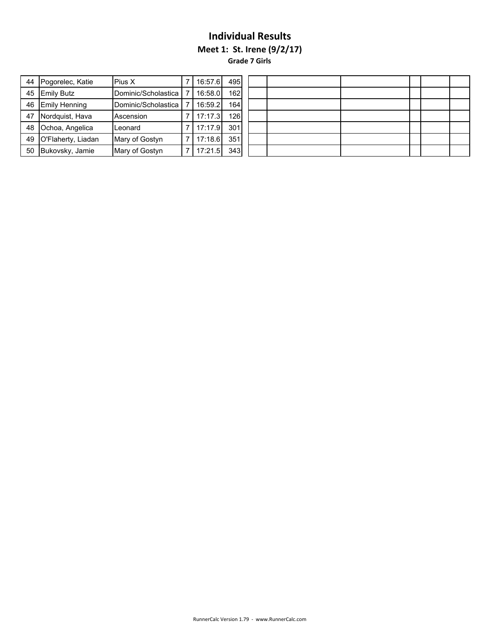**Meet 1: St. Irene (9/2/17)**

**Grade 7 Girls**

| 44 | Pogorelec, Katie     | Pius X              | 16:57.6 | 495  |  |
|----|----------------------|---------------------|---------|------|--|
| 45 | <b>Emily Butz</b>    | Dominic/Scholastica | 16:58.0 | 162  |  |
| 46 | <b>Emily Henning</b> | Dominic/Scholastica | 16:59.2 | 164I |  |
| 47 | Nordquist, Hava      | Ascension           | 17:17.3 | 126  |  |
| 48 | Ochoa, Angelica      | Leonard             | 17:17.9 | 301  |  |
| 49 | O'Flaherty, Liadan   | Mary of Gostyn      | 17:18.6 | 351  |  |
| 50 | Bukovsky, Jamie      | Mary of Gostyn      | 17:21.5 | 343  |  |

| 495 |  |  |  |
|-----|--|--|--|
| 162 |  |  |  |
| 164 |  |  |  |
| 126 |  |  |  |
| 301 |  |  |  |
| 351 |  |  |  |
| 343 |  |  |  |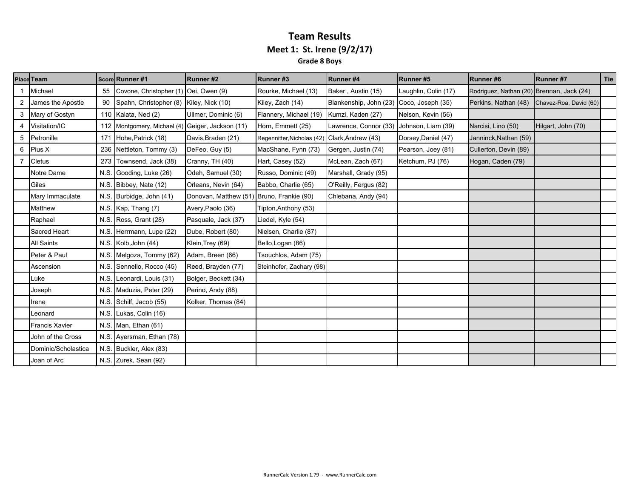### **Team Results Meet 1: St. Irene (9/2/17) Grade 8 Boys**

|   | <b>Place Team</b>     |      | Score Runner #1                                  | Runner#2                                  | Runner#3                   | Runner#4                                 | Runner#5             | Runner#6                                    | Runner#7           | Tie |
|---|-----------------------|------|--------------------------------------------------|-------------------------------------------|----------------------------|------------------------------------------|----------------------|---------------------------------------------|--------------------|-----|
|   | Michael               | 55   | Covone, Christopher (1) Oei, Owen (9)            |                                           | Rourke, Michael (13)       | Baker, Austin (15)                       | Laughlin, Colin (17) | Rodriguez, Nathan (20) Brennan, Jack (24)   |                    |     |
|   | James the Apostle     | 90   | Spahn, Christopher (8) Kiley, Nick (10)          |                                           | Kiley, Zach (14)           | Blankenship, John (23) Coco, Joseph (35) |                      | Perkins, Nathan (48) Chavez-Roa, David (60) |                    |     |
| 3 | Mary of Gostyn        |      | 110 Kalata, Ned (2)                              | Ullmer, Dominic (6)                       | Flannery, Michael (19)     | Kumzi, Kaden (27)                        | Nelson, Kevin (56)   |                                             |                    |     |
|   | Visitation/IC         |      | 112 Montgomery, Michael (4) Geiger, Jackson (11) |                                           | Horn, Emmett (25)          | Lawrence, Connor (33) Johnson, Liam (39) |                      | Narcisi, Lino (50)                          | Hilgart, John (70) |     |
| 5 | Petronille            | 171  | Hohe, Patrick (18)                               | Davis, Braden (21)                        | Regennitter, Nicholas (42) | Clark, Andrew (43)                       | Dorsey, Daniel (47)  | Janninck, Nathan (59)                       |                    |     |
| 6 | Pius X                | 236  | Nettleton, Tommy (3)                             | DeFeo, Guy (5)                            | MacShane, Fynn (73)        | Gergen, Justin (74)                      | Pearson, Joey (81)   | Cullerton, Devin (89)                       |                    |     |
|   | Cletus                | 273  | Townsend, Jack (38)                              | Cranny, TH (40)                           | Hart, Casey (52)           | McLean, Zach (67)                        | Ketchum, PJ (76)     | Hogan, Caden (79)                           |                    |     |
|   | Notre Dame            | N.S. | Gooding, Luke (26)                               | Odeh, Samuel (30)                         | Russo, Dominic (49)        | Marshall, Grady (95)                     |                      |                                             |                    |     |
|   | Giles                 |      | N.S. Bibbey, Nate (12)                           | Orleans, Nevin (64)                       | Babbo, Charlie (65)        | O'Reilly, Fergus (82)                    |                      |                                             |                    |     |
|   | Mary Immaculate       | N.S. | Burbidge, John (41)                              | Donovan, Matthew (51) Bruno, Frankie (90) |                            | Chlebana, Andy (94)                      |                      |                                             |                    |     |
|   | Matthew               |      | N.S. Kap, Thang (7)                              | Avery, Paolo (36)                         | Tipton, Anthony (53)       |                                          |                      |                                             |                    |     |
|   | Raphael               |      | N.S. Ross, Grant (28)                            | Pasquale, Jack (37)                       | Liedel, Kyle (54)          |                                          |                      |                                             |                    |     |
|   | Sacred Heart          |      | N.S. Herrmann, Lupe (22)                         | Dube, Robert (80)                         | Nielsen, Charlie (87)      |                                          |                      |                                             |                    |     |
|   | <b>All Saints</b>     |      | N.S. Kolb, John (44)                             | Klein, Trey (69)                          | Bello, Logan (86)          |                                          |                      |                                             |                    |     |
|   | Peter & Paul          |      | N.S. Melgoza, Tommy (62)                         | Adam, Breen (66)                          | Tsouchlos, Adam (75)       |                                          |                      |                                             |                    |     |
|   | Ascension             |      | N.S. Sennello, Rocco (45)                        | Reed, Brayden (77)                        | Steinhofer, Zachary (98)   |                                          |                      |                                             |                    |     |
|   | Luke                  | N.S. | Leonardi, Louis (31)                             | Bolger, Beckett (34)                      |                            |                                          |                      |                                             |                    |     |
|   | Joseph                |      | N.S. Maduzia, Peter (29)                         | Perino, Andy (88)                         |                            |                                          |                      |                                             |                    |     |
|   | Irene                 |      | N.S. Schilf, Jacob (55)                          | Kolker, Thomas (84)                       |                            |                                          |                      |                                             |                    |     |
|   | Leonard               |      | N.S. Lukas, Colin (16)                           |                                           |                            |                                          |                      |                                             |                    |     |
|   | <b>Francis Xavier</b> |      | N.S. Man, Ethan (61)                             |                                           |                            |                                          |                      |                                             |                    |     |
|   | John of the Cross     |      | N.S. Ayersman, Ethan (78)                        |                                           |                            |                                          |                      |                                             |                    |     |
|   | Dominic/Scholastica   |      | N.S. Buckler, Alex (83)                          |                                           |                            |                                          |                      |                                             |                    |     |
|   | Joan of Arc           |      | N.S. Zurek, Sean (92)                            |                                           |                            |                                          |                      |                                             |                    |     |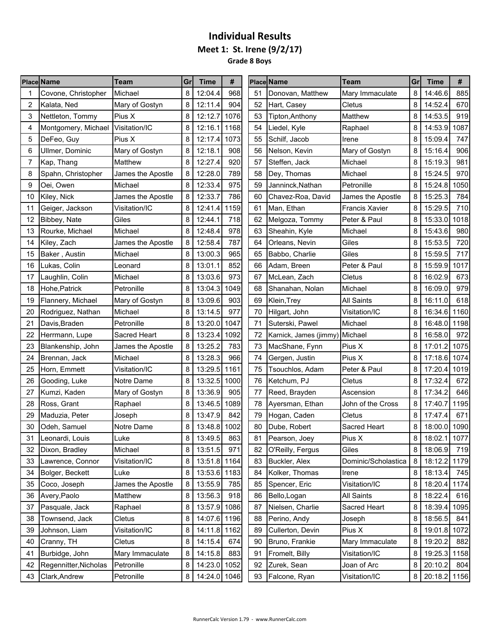**Meet 1: St. Irene (9/2/17)**

**Grade 8 Boys** s e

|    | <b>Place Name</b>     | Team              | Gr | <b>Time</b>  | #    |    | <b>Place Name</b>              | <b>Team</b>           | Grl | <b>Time</b>  | #    |
|----|-----------------------|-------------------|----|--------------|------|----|--------------------------------|-----------------------|-----|--------------|------|
|    | Covone, Christopher   | Michael           | 8  | 12:04.4      | 968  | 51 | Donovan, Matthew               | Mary Immaculate       | 8   | 14:46.6      | 885  |
| 2  | Kalata, Ned           | Mary of Gostyn    | 8  | 12:11.4      | 904  | 52 | Hart, Casey                    | Cletus                | 8   | 14:52.4      | 670  |
| 3  | Nettleton, Tommy      | Pius X            | 8  | 12:12.7      | 1076 | 53 | Tipton, Anthony                | Matthew               | 8   | 14:53.5      | 919  |
| 4  | Montgomery, Michael   | Visitation/IC     | 8  | 12:16.1      | 1168 | 54 | Liedel, Kyle                   | Raphael               | 8   | 14:53.9      | 1087 |
| 5  | DeFeo, Guy            | Pius X            | 8  | 12:17.4      | 1073 | 55 | Schilf, Jacob                  | Irene                 | 8   | 15:09.4      | 747  |
| 6  | Ullmer, Dominic       | Mary of Gostyn    | 8  | 12:18.1      | 908  | 56 | Nelson, Kevin                  | Mary of Gostyn        | 8   | 15:16.4      | 906  |
| 7  | Kap, Thang            | Matthew           | 8  | 12:27.4      | 920  | 57 | Steffen, Jack                  | Michael               | 8   | 15:19.3      | 981  |
| 8  | Spahn, Christopher    | James the Apostle | 8  | 12:28.0      | 789  | 58 | Dey, Thomas                    | Michael               | 8   | 15:24.5      | 970  |
| 9  | Oei, Owen             | Michael           | 8  | 12:33.4      | 975  | 59 | Janninck, Nathan               | Petronille            | 8   | 15:24.8      | 1050 |
| 10 | Kiley, Nick           | James the Apostle | 8  | 12:33.7      | 786  | 60 | Chavez-Roa, David              | James the Apostle     | 8   | 15:25.3      | 784  |
| 11 | Geiger, Jackson       | Visitation/IC     | 8  | 12:41.4      | 1159 | 61 | Man, Ethan                     | <b>Francis Xavier</b> | 8   | 15:29.5      | 710  |
| 12 | Bibbey, Nate          | Giles             | 8  | 12:44.1      | 718  | 62 | Melgoza, Tommy                 | Peter & Paul          | 8   | 15:33.0      | 1018 |
| 13 | Rourke, Michael       | Michael           | 8  | 12:48.4      | 978  | 63 | Sheahin, Kyle                  | Michael               | 8   | 15:43.6      | 980  |
| 14 | Kiley, Zach           | James the Apostle | 8  | 12:58.4      | 787  | 64 | Orleans, Nevin                 | Giles                 | 8   | 15:53.5      | 720  |
| 15 | Baker, Austin         | Michael           | 8  | 13:00.3      | 965  | 65 | Babbo, Charlie                 | Giles                 | 8   | 15:59.5      | 717  |
| 16 | Lukas, Colin          | Leonard           | 8  | 13:01.1      | 852  | 66 | Adam, Breen                    | Peter & Paul          | 8   | 15:59.9      | 1017 |
| 17 | Laughlin, Colin       | Michael           | 8  | 13:03.6      | 973  | 67 | McLean, Zach                   | <b>Cletus</b>         | 8   | 16:02.9      | 673  |
| 18 | Hohe, Patrick         | Petronille        | 8  | 13:04.3      | 1049 | 68 | Shanahan, Nolan                | Michael               | 8   | 16:09.0      | 979  |
| 19 | Flannery, Michael     | Mary of Gostyn    | 8  | 13:09.6      | 903  | 69 | Klein, Trey                    | <b>All Saints</b>     | 8   | 16:11.0      | 618  |
| 20 | Rodriguez, Nathan     | Michael           | 8  | 13:14.5      | 977  | 70 | Hilgart, John                  | Visitation/IC         | 8   | 16:34.6      | 1160 |
| 21 | Davis, Braden         | Petronille        | 8  | 13:20.0      | 1047 | 71 | Suterski, Pawel                | Michael               | 8   | 16:48.0      | 1198 |
| 22 | Herrmann, Lupe        | Sacred Heart      | 8  | 13:23.4      | 1092 | 72 | Karnick, James (jimmy) Michael |                       | 8   | 16:58.0      | 972  |
| 23 | Blankenship, John     | James the Apostle | 8  | 13:25.2      | 783  | 73 | MacShane, Fynn                 | Pius X                | 8   | 17:01.2      | 1075 |
| 24 | Brennan, Jack         | Michael           | 8  | 13:28.3      | 966  | 74 | Gergen, Justin                 | Pius X                | 8   | 17:18.6      | 1074 |
| 25 | Horn, Emmett          | Visitation/IC     | 8  | 13:29.5      | 1161 | 75 | Tsouchlos, Adam                | Peter & Paul          | 8   | 17:20.4      | 1019 |
| 26 | Gooding, Luke         | Notre Dame        | 8  | 13:32.5      | 1000 | 76 | Ketchum, PJ                    | Cletus                | 8   | 17:32.4      | 672  |
| 27 | Kumzi, Kaden          | Mary of Gostyn    | 8  | 13:36.9      | 905  | 77 | Reed, Brayden                  | Ascension             | 8   | 17:34.2      | 646  |
| 28 | Ross, Grant           | Raphael           | 8  | 13:46.5      | 1089 | 78 | Ayersman, Ethan                | John of the Cross     | 8   | 17:40.7      | 1195 |
| 29 | Maduzia, Peter        | Joseph            | 8  | 13:47.9      | 842  | 79 | Hogan, Caden                   | <b>Cletus</b>         | 8   | 17:47.4      | 671  |
| 30 | Odeh, Samuel          | Notre Dame        | 8  | 13:48.8      | 1002 | 80 | Dube, Robert                   | Sacred Heart          | 8   | 18:00.0 1090 |      |
| 31 | Leonardi, Louis       | Luke              | 8  | 13:49.5      | 863  | 81 | Pearson, Joey                  | Pius X                | 8   | 18:02.1 1077 |      |
| 32 | Dixon, Bradley        | Michael           | 8  | 13:51.5      | 971  | 82 | O'Reilly, Fergus               | Giles                 | 8   | 18:06.9      | 719  |
| 33 | Lawrence, Connor      | Visitation/IC     | 8  | 13:51.8 1164 |      | 83 | Buckler, Alex                  | Dominic/Scholastica   | 8   | 18:12.2      | 1179 |
| 34 | Bolger, Beckett       | Luke              | 8  | 13:53.6 1183 |      | 84 | Kolker, Thomas                 | Irene                 | 8   | 18:13.4      | 745  |
| 35 | Coco, Joseph          | James the Apostle | 8  | 13:55.9      | 785  | 85 | Spencer, Eric                  | Visitation/IC         | 8   | 18:20.4 1174 |      |
| 36 | Avery, Paolo          | Matthew           | 8  | 13:56.3      | 918  | 86 | Bello, Logan                   | All Saints            | 8   | 18:22.4      | 616  |
| 37 | Pasquale, Jack        | Raphael           | 8  | 13:57.9 1086 |      | 87 | Nielsen, Charlie               | Sacred Heart          | 8   | 18:39.4      | 1095 |
| 38 | Townsend, Jack        | Cletus            | 8  | 14:07.6 1196 |      | 88 | Perino, Andy                   | Joseph                | 8   | 18:56.5      | 841  |
| 39 | Johnson, Liam         | Visitation/IC     | 8  | 14:11.8 1162 |      | 89 | Cullerton, Devin               | Pius X                | 8   | 19:01.8 1072 |      |
| 40 | Cranny, TH            | Cletus            | 8  | 14:15.4      | 674  | 90 | Bruno, Frankie                 | Mary Immaculate       | 8   | 19:20.2      | 882  |
| 41 | Burbidge, John        | Mary Immaculate   | 8  | 14:15.8      | 883  | 91 | Fromelt, Billy                 | Visitation/IC         | 8   | 19:25.3      | 1158 |
| 42 | Regennitter, Nicholas | Petronille        | 8  | 14:23.0 1052 |      | 92 | Zurek, Sean                    | Joan of Arc           | 8   | 20:10.2      | 804  |
| 43 | Clark, Andrew         | Petronille        | 8  | 14:24.0 1046 |      | 93 | Falcone, Ryan                  | Visitation/IC         | 8   | 20:18.2 1156 |      |
|    |                       |                   |    |              |      |    |                                |                       |     |              |      |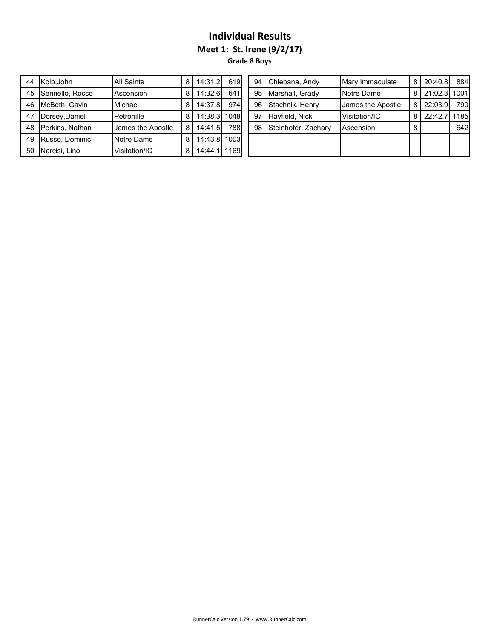**Meet 1: St. Irene (9/2/17)**

**Grade 8 Boys**

| 44 | Kolb, John      | <b>All Saints</b> | 8 | 14:31.2 | 619  |
|----|-----------------|-------------------|---|---------|------|
| 45 | Sennello, Rocco | Ascension         | 8 | 14:32.6 | 641  |
| 46 | McBeth, Gavin   | Michael           | 8 | 14:37.8 | 974  |
| 47 | Dorsey, Daniel  | Petronille        | 8 | 14:38.3 | 1048 |
| 48 | Perkins, Nathan | James the Apostle | 8 | 14:41.5 | 788  |
| 49 | Russo, Dominic  | Notre Dame        | 8 | 14:43.8 | 1003 |
| 50 | Narcisi, Lino   | Visitation/IC     | 8 | 14:44.  | 1169 |

|    | 44 Kolb.John       | <b>All Saints</b> | 8 | 14:31.2        | 619  |    | 94 Chlebana, Andy      | Mary Immaculate   | 8 | 20:40.8      | 884  |
|----|--------------------|-------------------|---|----------------|------|----|------------------------|-------------------|---|--------------|------|
|    | 45 Sennello, Rocco | Ascension         | 8 | 14:32.6        | 641  |    | 95 Marshall, Grady     | Notre Dame        | 8 | 21:02.3 1001 |      |
|    | 46 NcBeth. Gavin   | Michael           | 8 | 14:37.8        | 974  |    | 96 Stachnik, Henry     | James the Apostle | 8 | 22:03.9      | 790  |
| 47 | Dorsey, Daniel     | Petronille        | 8 | 14:38.3   1048 |      | 97 | Hayfield, Nick         | Visitation/IC     | 8 | 22:42.7      | 1185 |
|    | 48 Perkins. Nathan | James the Apostle | 8 | 14:41.5        | 7881 |    | 98 Steinhofer, Zachary | Ascension         |   |              | 642  |
|    | 49 Russo, Dominic  | Notre Dame        | 8 | 14:43.8 1003   |      |    |                        |                   |   |              |      |
|    | 50 Narcisi, Lino   | Visitation/IC     | 8 | 14:44.1   1169 |      |    |                        |                   |   |              |      |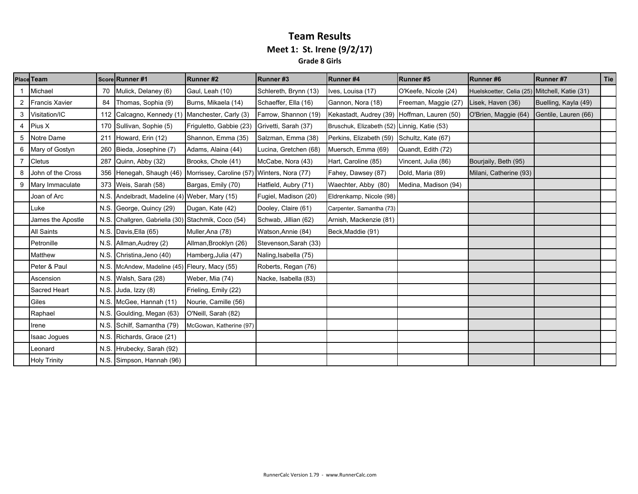#### **Team Results Meet 1: St. Irene (9/2/17) Grade 8 Girls**

|   | <b>Place Team</b>     |      | Score Runner #1                               | Runner#2                                    | Runner#3              | Runner#4                                    | Runner#5             | Runner#6                                      | Runner #7            | Tie |
|---|-----------------------|------|-----------------------------------------------|---------------------------------------------|-----------------------|---------------------------------------------|----------------------|-----------------------------------------------|----------------------|-----|
|   | Michael               | 70   | Mulick, Delaney (6)                           | Gaul, Leah (10)                             | Schlereth, Brynn (13) | Ives, Louisa (17)                           | O'Keefe, Nicole (24) | Huelskoetter, Celia (25) Mitchell, Katie (31) |                      |     |
|   | <b>Francis Xavier</b> | 84   | Thomas, Sophia (9)                            | Burns, Mikaela (14)                         | Schaeffer, Ella (16)  | Gannon, Nora (18)                           | Freeman, Maggie (27) | Lisek, Haven (36)                             | Buelling, Kayla (49) |     |
| 3 | Visitation/IC         | 112  | Calcagno, Kennedy (1) Manchester, Carly (3)   |                                             | Farrow, Shannon (19)  | Kekastadt, Audrey (39) Hoffman, Lauren (50) |                      | O'Brien, Maggie (64)                          | Gentile, Lauren (66) |     |
|   | <b>Pius X</b>         | 170  | Sullivan, Sophie (5)                          | Friguletto, Gabbie (23)                     | Grivetti, Sarah (37)  | Bruschuk, Elizabeth (52) Linnig, Katie (53) |                      |                                               |                      |     |
| 5 | Notre Dame            | 211  | Howard, Erin (12)                             | Shannon, Emma (35)                          | Salzman, Emma (38)    | Perkins, Elizabeth (59) Schultz, Kate (67)  |                      |                                               |                      |     |
| 6 | Mary of Gostyn        | 260  | Bieda, Josephine (7)                          | Adams, Alaina (44)                          | Lucina, Gretchen (68) | Muersch, Emma (69)                          | Quandt, Edith (72)   |                                               |                      |     |
|   | Cletus                | 287  | Quinn, Abby (32)                              | Brooks, Chole (41)                          | McCabe, Nora (43)     | Hart, Caroline (85)                         | Vincent, Julia (86)  | Bourjaily, Beth (95)                          |                      |     |
|   | John of the Cross     | 356  | Henegah, Shaugh (46)                          | Morrissey, Caroline (57) Winters, Nora (77) |                       | Fahey, Dawsey (87)                          | Dold, Maria (89)     | Milani, Catherine (93)                        |                      |     |
| 9 | Mary Immaculate       | 373  | Weis, Sarah (58)                              | Bargas, Emily (70)                          | Hatfield, Aubry (71)  | Waechter, Abby (80)                         | Medina, Madison (94) |                                               |                      |     |
|   | Joan of Arc           | N.S. | Andelbradt, Madeline (4) Weber, Mary (15)     |                                             | Fugiel, Madison (20)  | Eldrenkamp, Nicole (98)                     |                      |                                               |                      |     |
|   | Luke                  | N.S. | George, Quincy (29)                           | Dugan, Kate (42)                            | Dooley, Claire (61)   | Carpenter, Samantha (73)                    |                      |                                               |                      |     |
|   | James the Apostle     | N.S  | Challgren, Gabriella (30) Stachmik, Coco (54) |                                             | Schwab, Jillian (62)  | Arnish, Mackenzie (81)                      |                      |                                               |                      |     |
|   | <b>All Saints</b>     | N.S. | Davis, Ella (65)                              | Muller, Ana (78)                            | Watson, Annie (84)    | Beck, Maddie (91)                           |                      |                                               |                      |     |
|   | Petronille            | N.S  | Allman, Audrey (2)                            | Allman, Brooklyn (26)                       | Stevenson, Sarah (33) |                                             |                      |                                               |                      |     |
|   | Matthew               | N.S  | Christina, Jeno (40)                          | Hamberg, Julia (47)                         | Naling, Isabella (75) |                                             |                      |                                               |                      |     |
|   | Peter & Paul          | N.S. | McAndew, Madeline (45) Fleury, Macy (55)      |                                             | Roberts, Regan (76)   |                                             |                      |                                               |                      |     |
|   | Ascension             |      | N.S. Walsh, Sara (28)                         | Weber, Mia (74)                             | Nacke, Isabella (83)  |                                             |                      |                                               |                      |     |
|   | Sacred Heart          |      | N.S. Juda, Izzy (8)                           | Frieling, Emily (22)                        |                       |                                             |                      |                                               |                      |     |
|   | Giles                 |      | N.S. McGee, Hannah (11)                       | Nourie, Camille (56)                        |                       |                                             |                      |                                               |                      |     |
|   | Raphael               |      | N.S. Goulding, Megan (63)                     | O'Neill, Sarah (82)                         |                       |                                             |                      |                                               |                      |     |
|   | Irene                 | N.S. | Schilf, Samantha (79)                         | McGowan, Katherine (97)                     |                       |                                             |                      |                                               |                      |     |
|   | Isaac Jogues          | N.S. | Richards, Grace (21)                          |                                             |                       |                                             |                      |                                               |                      |     |
|   | Leonard               | N.S. | Hrubecky, Sarah (92)                          |                                             |                       |                                             |                      |                                               |                      |     |
|   | <b>Holy Trinity</b>   |      | N.S. Simpson, Hannah (96)                     |                                             |                       |                                             |                      |                                               |                      |     |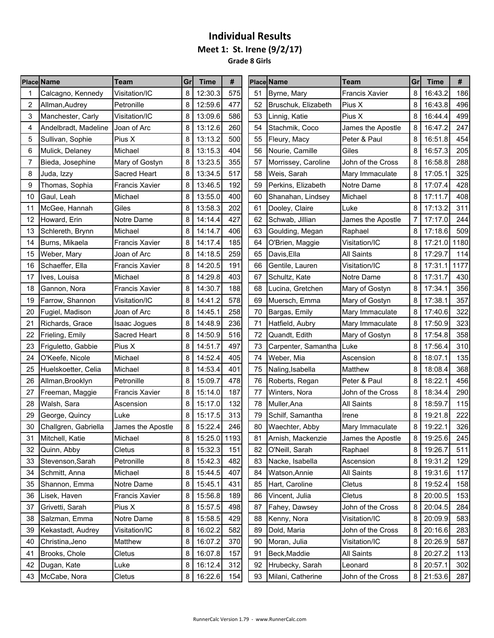### **Individual Results Meet 1: St. Irene (9/2/17) Grade 8 Girls**

|    | <b>Place Name</b>    | <b>Team</b>           | Gr             | <b>Time</b>  | #   |    | <b>Place Name</b>   | <b>Team</b>           | Gr             | <b>Time</b> | #    |
|----|----------------------|-----------------------|----------------|--------------|-----|----|---------------------|-----------------------|----------------|-------------|------|
|    | Calcagno, Kennedy    | Visitation/IC         | 8              | 12:30.3      | 575 | 51 | Byrne, Mary         | <b>Francis Xavier</b> | 8              | 16:43.2     | 186  |
| 2  | Allman, Audrey       | Petronille            | 8              | 12:59.6      | 477 | 52 | Bruschuk, Elizabeth | Pius X                | 8              | 16:43.8     | 496  |
| 3  | Manchester, Carly    | Visitation/IC         | 8              | 13:09.6      | 586 | 53 | Linnig, Katie       | Pius X                | 8              | 16:44.4     | 499  |
| 4  | Andelbradt, Madeline | Joan of Arc           | 8              | 13:12.6      | 260 | 54 | Stachmik, Coco      | James the Apostle     | 8              | 16:47.2     | 247  |
| 5  | Sullivan, Sophie     | Pius X                | 8              | 13:13.2      | 500 | 55 | Fleury, Macy        | Peter & Paul          | 8              | 16:51.8     | 454  |
| 6  | Mulick, Delaney      | Michael               | 8              | 13:15.3      | 404 | 56 | Nourie, Camille     | Giles                 | 8              | 16:57.3     | 205  |
| 7  | Bieda, Josephine     | Mary of Gostyn        | 8              | 13:23.5      | 355 | 57 | Morrissey, Caroline | John of the Cross     | 8              | 16:58.8     | 288  |
| 8  | Juda, Izzy           | Sacred Heart          | 8              | 13:34.5      | 517 | 58 | Weis, Sarah         | Mary Immaculate       | 8              | 17:05.1     | 325  |
| 9  | Thomas, Sophia       | <b>Francis Xavier</b> | 8              | 13:46.5      | 192 | 59 | Perkins, Elizabeth  | Notre Dame            | 8              | 17:07.4     | 428  |
| 10 | Gaul, Leah           | Michael               | 8              | 13:55.0      | 400 | 60 | Shanahan, Lindsey   | Michael               | 8              | 17:11.7     | 408  |
| 11 | McGee, Hannah        | Giles                 | 8              | 13:58.3      | 202 | 61 | Dooley, Claire      | Luke                  | 8              | 17:13.2     | 311  |
| 12 | Howard, Erin         | Notre Dame            | 8              | 14:14.4      | 427 | 62 | Schwab, Jillian     | James the Apostle     | 7              | 17:17.0     | 244  |
| 13 | Schlereth, Brynn     | Michael               | 8              | 14:14.7      | 406 | 63 | Goulding, Megan     | Raphael               | 8              | 17:18.6     | 509  |
| 14 | Burns, Mikaela       | <b>Francis Xavier</b> | 8              | 14:17.4      | 185 | 64 | O'Brien, Maggie     | Visitation/IC         | 8              | 17:21.0     | 1180 |
| 15 | Weber, Mary          | Joan of Arc           | 8              | 14:18.5      | 259 | 65 | Davis, Ella         | <b>All Saints</b>     | 8              | 17:29.7     | 114  |
| 16 | Schaeffer, Ella      | <b>Francis Xavier</b> | 8              | 14:20.5      | 191 | 66 | Gentile, Lauren     | Visitation/IC         | 8              | 17:31.1     | 1177 |
| 17 | Ives, Louisa         | Michael               | 8              | 14:29.8      | 403 | 67 | Schultz, Kate       | Notre Dame            | 8              | 17:31.7     | 430  |
| 18 | Gannon, Nora         | <b>Francis Xavier</b> | 8              | 14:30.7      | 188 | 68 | Lucina, Gretchen    | Mary of Gostyn        | 8              | 17:34.1     | 356  |
| 19 | Farrow, Shannon      | Visitation/IC         | 8              | 14:41.2      | 578 | 69 | Muersch, Emma       | Mary of Gostyn        | 8              | 17:38.1     | 357  |
| 20 | Fugiel, Madison      | Joan of Arc           | 8              | 14:45.1      | 258 | 70 | Bargas, Emily       | Mary Immaculate       | 8              | 17:40.6     | 322  |
| 21 | Richards, Grace      | Isaac Jogues          | 8              | 14:48.9      | 236 | 71 | Hatfield, Aubry     | Mary Immaculate       | 8              | 17:50.9     | 323  |
| 22 | Frieling, Emily      | Sacred Heart          | 8              | 14:50.9      | 516 | 72 | Quandt, Edith       | Mary of Gostyn        | 8              | 17:54.8     | 358  |
| 23 | Friguletto, Gabbie   | Pius X                | 8              | 14:51.7      | 497 | 73 | Carpenter, Samantha | Luke                  | 8              | 17:56.4     | 310  |
| 24 | O'Keefe, Nicole      | Michael               | 8              | 14:52.4      | 405 | 74 | Weber, Mia          | Ascension             | 8              | 18:07.1     | 135  |
| 25 | Huelskoetter, Celia  | Michael               | 8              | 14:53.4      | 401 | 75 | Naling, Isabella    | Matthew               | 8              | 18:08.4     | 368  |
| 26 | Allman, Brooklyn     | Petronille            | 8              | 15:09.7      | 478 | 76 | Roberts, Regan      | Peter & Paul          | 8              | 18:22.1     | 456  |
| 27 | Freeman, Maggie      | <b>Francis Xavier</b> | 8              | 15:14.0      | 187 | 77 | Winters, Nora       | John of the Cross     | 8              | 18:34.4     | 290  |
| 28 | Walsh, Sara          | Ascension             | 8              | 15:17.0      | 132 | 78 | Muller, Ana         | <b>All Saints</b>     | 8              | 18:59.7     | 115  |
| 29 | George, Quincy       | Luke                  | 8              | 15:17.5      | 313 | 79 | Schilf, Samantha    | Irene                 | 8              | 19:21.8     | 222  |
| 30 | Challgren, Gabriella | James the Apostle     | 8              | 15:22.4      | 246 | 80 | Waechter, Abby      | Mary Immaculate       | 8              | 19:22.1     | 326  |
| 31 | Mitchell, Katie      | Michael               | 8 <sup>1</sup> | 15:25.0 1193 |     | 81 | Arnish, Mackenzie   | James the Apostle     | 8 <sup>1</sup> | 19:25.6     | 245  |
| 32 | Quinn, Abby          | Cletus                | 8              | 15:32.3      | 151 | 82 | O'Neill, Sarah      | Raphael               | 8              | 19:26.7     | 511  |
| 33 | Stevenson, Sarah     | Petronille            | 8              | 15:42.3      | 482 | 83 | Nacke, Isabella     | Ascension             | 8              | 19:31.2     | 129  |
| 34 | Schmitt, Anna        | Michael               | 8              | 15:44.5      | 407 | 84 | Watson, Annie       | All Saints            | 8              | 19:31.6     | 117  |
| 35 | Shannon, Emma        | Notre Dame            | 8              | 15:45.1      | 431 | 85 | Hart, Caroline      | Cletus                | 8              | 19:52.4     | 158  |
| 36 | Lisek, Haven         | <b>Francis Xavier</b> | 8              | 15:56.8      | 189 | 86 | Vincent, Julia      | Cletus                | 8              | 20:00.5     | 153  |
| 37 | Grivetti, Sarah      | Pius X                | 8              | 15:57.5      | 498 | 87 | Fahey, Dawsey       | John of the Cross     | 8              | 20:04.5     | 284  |
| 38 | Salzman, Emma        | Notre Dame            | 8              | 15:58.5      | 429 | 88 | Kenny, Nora         | Visitation/IC         | 8              | 20:09.9     | 583  |
| 39 | Kekastadt, Audrey    | Visitation/IC         | 8              | 16:02.2      | 582 | 89 | Dold, Maria         | John of the Cross     | 8              | 20:16.6     | 283  |
| 40 | Christina, Jeno      | Matthew               | 8              | 16:07.2      | 370 | 90 | Moran, Julia        | Visitation/IC         | 8              | 20:26.9     | 587  |
| 41 | Brooks, Chole        | Cletus                | 8              | 16:07.8      | 157 | 91 | Beck, Maddie        | All Saints            | 8              | 20:27.2     | 113  |
| 42 | Dugan, Kate          | Luke                  | 8              | 16:12.4      | 312 | 92 | Hrubecky, Sarah     | Leonard               | 8              | 20:57.1     | 302  |
| 43 | McCabe, Nora         | Cletus                | 8              | 16:22.6      | 154 | 93 | Milani, Catherine   | John of the Cross     | 8              | 21:53.6     | 287  |